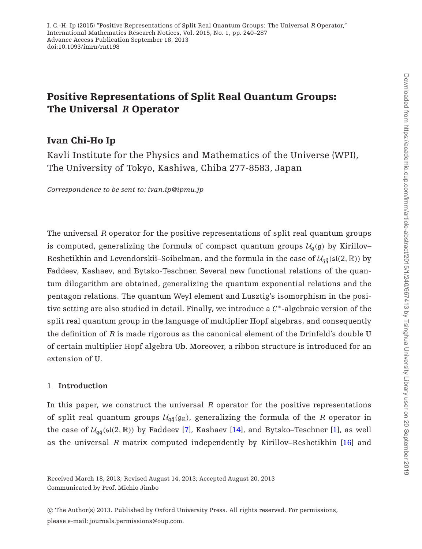# **Positive Representations of Split Real Quantum Groups: The Universal <sup>R</sup> Operator**

# **Ivan Chi-Ho Ip**

Kavli Institute for the Physics and Mathematics of the Universe (WPI), The University of Tokyo, Kashiwa, Chiba 277-8583, Japan

*Correspondence to be sent to: ivan.ip@ipmu.jp*

The universal *R* operator for the positive representations of split real quantum groups is computed, generalizing the formula of compact quantum groups  $U_q(\mathfrak{g})$  by Kirillov– Reshetikhin and Levendorskii–Soibelman, and the formula in the case of  $\mathcal{U}_{q\bar{q}}(\mathfrak{sl}(2,\mathbb{R}))$  by Faddeev, Kashaev, and Bytsko-Teschner. Several new functional relations of the quantum dilogarithm are obtained, generalizing the quantum exponential relations and the pentagon relations. The quantum Weyl element and Lusztig's isomorphism in the positive setting are also studied in detail. Finally, we introduce a *C*<sup>∗</sup>-algebraic version of the split real quantum group in the language of multiplier Hopf algebras, and consequently the definition of *R* is made rigorous as the canonical element of the Drinfeld's double **U** of certain multiplier Hopf algebra **Ub**. Moreover, a ribbon structure is introduced for an extension of **U**.

# 1 **Introduction**

In this paper, we construct the universal *R* operator for the positive representations of split real quantum groups  $\mathcal{U}_{q\tilde{q}}(p_R)$ , generalizing the formula of the *R* operator in the case of  $\mathcal{U}_{q\bar{q}}(\mathfrak{sl}(2,\mathbb{R}))$  by Faddeev [\[7\]](#page-45-0), Kashaev [\[14\]](#page-46-0), and Bytsko–Teschner [\[1](#page-45-1)], as well as the universal *R* matrix computed independently by Kirillov–Reshetikhin [\[16\]](#page-46-1) and

Received March 18, 2013; Revised August 14, 2013; Accepted August 20, 2013 Communicated by Prof. Michio Jimbo

c The Author(s) 2013. Published by Oxford University Press. All rights reserved. For permissions, please e-mail: journals.permissions@oup.com.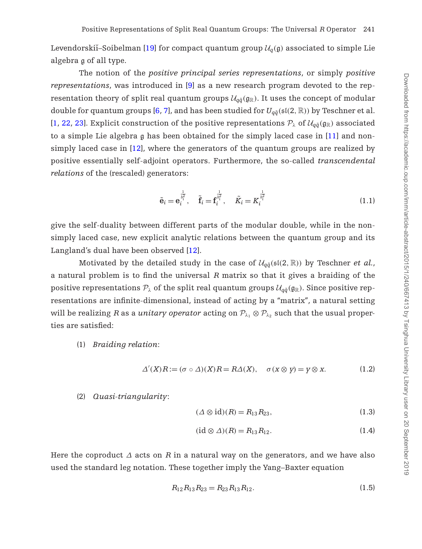Levendorskii–Soibelman [[19\]](#page-46-2) for compact quantum group  $\mathcal{U}_q(\mathfrak{g})$  associated to simple Lie algebra g of all type.

The notion of the *positive principal series representations*, or simply *positive representations*, was introduced in [\[9](#page-46-3)] as a new research program devoted to the representation theory of split real quantum groups  $\mathcal{U}_{q\tilde{q}}(g_{\mathbb{R}})$ . It uses the concept of modular double for quantum groups [\[6,](#page-45-2) [7](#page-45-0)], and has been studied for  $U_{q\bar{q}}(\mathfrak{sl}(2,\mathbb{R}))$  by Teschner et al. [\[1,](#page-45-1) [22](#page-46-4), [23](#page-46-5)]. Explicit construction of the positive representations  $\mathcal{P}_{\lambda}$  of  $\mathcal{U}_{q\bar{q}}(\mathfrak{g}_{\mathbb{R}})$  associated to a simple Lie algebra g has been obtained for the simply laced case in [\[11](#page-46-6)] and nonsimply laced case in [\[12\]](#page-46-7), where the generators of the quantum groups are realized by positive essentially self-adjoint operators. Furthermore, the so-called *transcendental relations* of the (rescaled) generators:

$$
\tilde{\mathbf{e}}_i = \mathbf{e}_i^{\frac{1}{b_i^2}}, \quad \tilde{\mathbf{f}}_i = \mathbf{f}_i^{\frac{1}{b_i^2}}, \quad \tilde{K}_i = K_i^{\frac{1}{b_i^2}}
$$
(1.1)

give the self-duality between different parts of the modular double, while in the nonsimply laced case, new explicit analytic relations between the quantum group and its Langland's dual have been observed [\[12\]](#page-46-7).

Motivated by the detailed study in the case of  $\mathcal{U}_{q\tilde{q}}(\mathfrak{sl}(2,\mathbb{R}))$  by Teschner *et al.*, a natural problem is to find the universal *R* matrix so that it gives a braiding of the positive representations  $P_\lambda$  of the split real quantum groups  $\mathcal{U}_{q\bar{q}}(g_\mathbb{R})$ . Since positive representations are infinite-dimensional, instead of acting by a "matrix", a natural setting will be realizing *R* as a *unitary operator* acting on  $P_{\lambda_1} \otimes P_{\lambda_2}$  such that the usual properties are satisfied:

(1) *Braiding relation*:

<span id="page-1-0"></span>
$$
\Delta'(X)R := (\sigma \circ \Delta)(X)R = R\Delta(X), \quad \sigma(x \otimes y) = y \otimes x. \tag{1.2}
$$

(2) *Quasi-triangularity*:

<span id="page-1-2"></span>
$$
(\Delta \otimes id)(R) = R_{13}R_{23},\tag{1.3}
$$

<span id="page-1-1"></span>
$$
(id \otimes \Delta)(R) = R_{13}R_{12}.
$$
\n
$$
(1.4)
$$

Here the coproduct  $\Delta$  acts on *R* in a natural way on the generators, and we have also used the standard leg notation. These together imply the Yang–Baxter equation

$$
R_{12}R_{13}R_{23}=R_{23}R_{13}R_{12}.
$$
\n(1.5)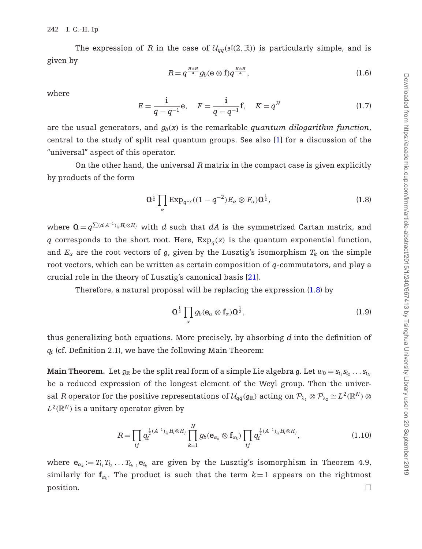The expression of *R* in the case of  $U_{q\bar{q}}(\mathfrak{sl}(2,\mathbb{R}))$  is particularly simple, and is given by

$$
R = q^{\frac{H\otimes H}{4}}g_b(e\otimes f)q^{\frac{H\otimes H}{4}},\tag{1.6}
$$

where

<span id="page-2-2"></span>
$$
E = \frac{i}{q - q^{-1}} \mathbf{e}, \quad F = \frac{i}{q - q^{-1}} \mathbf{f}, \quad K = q^H \tag{1.7}
$$

are the usual generators, and  $q_b(x)$  is the remarkable *quantum dilogarithm function*, central to the study of split real quantum groups. See also [\[1](#page-45-1)] for a discussion of the "universal" aspect of this operator.

On the other hand, the universal *R* matrix in the compact case is given explicitly by products of the form

<span id="page-2-0"></span>
$$
\mathbf{Q}^{\frac{1}{2}}\prod_{\alpha}\operatorname{Exp}_{q^{-2}}((1-q^{-2})E_{\alpha}\otimes F_{\alpha})\mathbf{Q}^{\frac{1}{2}},\tag{1.8}
$$

where  $\mathbf{Q}=q^{\sum (d\cdot A^{-1})_{ij}H_i\otimes H_j}$  with  $d$  such that  $dA$  is the symmetrized Cartan matrix, and *q* corresponds to the short root. Here,  $Exp<sub>a</sub>(x)$  is the quantum exponential function, and  $E_\alpha$  are the root vectors of g, given by the Lusztig's isomorphism  $T_k$  on the simple root vectors, which can be written as certain composition of *q*-commutators, and play a crucial role in the theory of Lusztig's canonical basis [\[21\]](#page-46-8).

Therefore, a natural proposal will be replacing the expression [\(1.8\)](#page-2-0) by

$$
\mathbf{Q}^{\frac{1}{2}} \prod_{\alpha} g_b(\mathbf{e}_{\alpha} \otimes \mathbf{f}_{\alpha}) \mathbf{Q}^{\frac{1}{2}}, \qquad (1.9)
$$

thus generalizing both equations. More precisely, by absorbing *d* into the definition of *qi* (cf. Definition 2.1), we have the following Main Theorem:

**Main Theorem.** Let  $g_R$  be the split real form of a simple Lie algebra g. Let  $w_0 = s_{i_1} s_{i_2} \ldots s_{i_N}$ be a reduced expression of the longest element of the Weyl group. Then the universal *R* operator for the positive representations of  $\mathcal{U}_{q\bar{q}}(g_{\mathbb{R}})$  acting on  $\mathcal{P}_{\lambda_1} \otimes \mathcal{P}_{\lambda_2} \simeq L^2(\mathbb{R}^N) \otimes$  $L^2(\mathbb{R}^N)$  is a unitary operator given by

<span id="page-2-1"></span>
$$
R = \prod_{ij} q_i^{\frac{1}{2}(A^{-1})_{ij} H_i \otimes H_j} \prod_{k=1}^N g_b(e_{\alpha_k} \otimes f_{\alpha_k}) \prod_{ij} q_i^{\frac{1}{2}(A^{-1})_{ij} H_i \otimes H_j},
$$
(1.10)

where  $\mathbf{e}_{\alpha_k} := T_{i_1} T_{i_2} \dots T_{i_{k-1}} \mathbf{e}_{i_k}$  are given by the Lusztig's isomorphism in Theorem 4.9, similarly for  $f_{\alpha_k}$ . The product is such that the term  $k=1$  appears on the rightmost  $\Box$  position.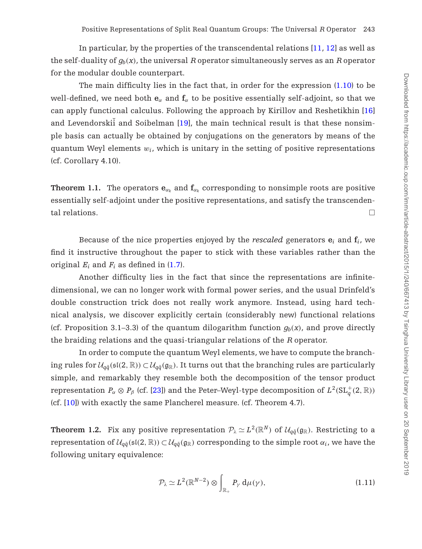In particular, by the properties of the transcendental relations [\[11,](#page-46-6) [12](#page-46-7)] as well as the self-duality of  $q_b(x)$ , the universal *R* operator simultaneously serves as an *R* operator for the modular double counterpart.

The main difficulty lies in the fact that, in order for the expression [\(1.10\)](#page-2-1) to be well-defined, we need both **e**<sub>α</sub> and **f**<sub>α</sub> to be positive essentially self-adjoint, so that we can apply functional calculus. Following the approach by Kirillov and Reshetikhin [\[16\]](#page-46-1) and Levendorskii and Soibelman [\[19](#page-46-2)], the main technical result is that these nonsimple basis can actually be obtained by conjugations on the generators by means of the quantum Weyl elements w*i*, which is unitary in the setting of positive representations (cf. Corollary 4.10).

**Theorem 1.1.** The operators  $\mathbf{e}_{\alpha_k}$  and  $\mathbf{f}_{\alpha_k}$  corresponding to nonsimple roots are positive essentially self-adjoint under the positive representations, and satisfy the transcendental relations.  $\Box$ 

Because of the nice properties enjoyed by the *rescaled* generators  $e_i$  and  $f_i$ , we find it instructive throughout the paper to stick with these variables rather than the original  $E_i$  and  $F_i$  as defined in  $(1.7)$ .

Another difficulty lies in the fact that since the representations are infinitedimensional, we can no longer work with formal power series, and the usual Drinfeld's double construction trick does not really work anymore. Instead, using hard technical analysis, we discover explicitly certain (considerably new) functional relations (cf. Proposition 3.1–3.3) of the quantum dilogarithm function  $q_b(x)$ , and prove directly the braiding relations and the quasi-triangular relations of the *R* operator.

In order to compute the quantum Weyl elements, we have to compute the branching rules for  $U_{q\tilde{q}}(s(2,\mathbb{R})) \subset U_{q\tilde{q}}(\mathfrak{g}_{\mathbb{R}})$ . It turns out that the branching rules are particularly simple, and remarkably they resemble both the decomposition of the tensor product representation  $P_\alpha\otimes P_\beta$  (cf. [\[23\]](#page-46-5)) and the Peter–Weyl-type decomposition of  $L^2(\mathrm{SL}_q^+(2,\mathbb{R}))$ (cf. [\[10](#page-46-9)]) with exactly the same Plancherel measure. (cf. Theorem 4.7).

**Theorem 1.2.** Fix any positive representation  $P_{\lambda} \simeq L^2(\mathbb{R}^N)$  of  $\mathcal{U}_{q\bar{q}}(g_{\mathbb{R}})$ . Restricting to a representation of  $\mathcal{U}_{q\bar{q}}(\mathfrak{sl}(2,\mathbb{R})) \subset \mathcal{U}_{q\bar{q}}(\mathfrak{g}_{\mathbb{R}})$  corresponding to the simple root  $\alpha_i$ , we have the following unitary equivalence:

$$
\mathcal{P}_{\lambda} \simeq L^{2}(\mathbb{R}^{N-2}) \otimes \int_{\mathbb{R}_{+}} P_{\gamma} d\mu(\gamma), \qquad (1.11)
$$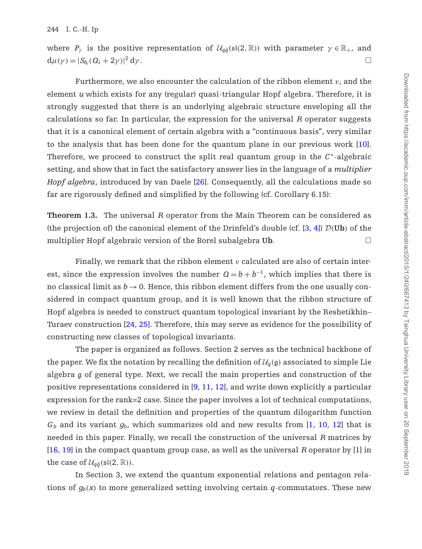where  $P_\gamma$  is the positive representation of  $\mathcal{U}_{q\bar{q}}(\mathfrak{sl}(2,\mathbb{R}))$  with parameter  $\gamma \in \mathbb{R}_+$ , and  $d\mu(\gamma) = |S_{k}(Q_{i} + 2\gamma)|^2 d\gamma$  $d\mu(\gamma) = |S_{b_i}(Q_i + 2\gamma)|^2 d\gamma.$  $2 d\gamma$ .

Furthermore, we also encounter the calculation of the ribbon element  $v$ , and the element *u* which exists for any (regular) quasi-triangular Hopf algebra. Therefore, it is strongly suggested that there is an underlying algebraic structure enveloping all the calculations so far. In particular, the expression for the universal *R* operator suggests that it is a canonical element of certain algebra with a "continuous basis", very similar to the analysis that has been done for the quantum plane in our previous work [\[10](#page-46-9)]. Therefore, we proceed to construct the split real quantum group in the *C*<sup>∗</sup>-algebraic setting, and show that in fact the satisfactory answer lies in the language of a *multiplier Hopf algebra*, introduced by van Daele [\[26\]](#page-47-0). Consequently, all the calculations made so far are rigorously defined and simplified by the following (cf. Corollary 6.15):

**Theorem 1.3.** The universal *R* operator from the Main Theorem can be considered as (the projection of) the canonical element of the Drinfeld's double (cf. [\[3,](#page-45-3) [4](#page-45-4)]) *D*(**Ub**) of the multiplier Hopf algebraic version of the Borel subalgebra **Ub**. -

Finally, we remark that the ribbon element  $v$  calculated are also of certain interest, since the expression involves the number  $Q = b + b^{-1}$ , which implies that there is no classical limit as  $b \rightarrow 0$ . Hence, this ribbon element differs from the one usually considered in compact quantum group, and it is well known that the ribbon structure of Hopf algebra is needed to construct quantum topological invariant by the Reshetikhin– Turaev construction [\[24](#page-46-10), [25\]](#page-46-11). Therefore, this may serve as evidence for the possibility of constructing new classes of topological invariants.

The paper is organized as follows. Section 2 serves as the technical backbone of the paper. We fix the notation by recalling the definition of  $U_q$ (g) associated to simple Lie algebra g of general type. Next, we recall the main properties and construction of the positive representations considered in [\[9](#page-46-3), [11,](#page-46-6) [12](#page-46-7)], and write down explicitly a particular expression for the rank=2 case. Since the paper involves a lot of technical computations, we review in detail the definition and properties of the quantum dilogarithm function  $G_b$  and its variant  $g_b$ , which summarizes old and new results from [\[1,](#page-45-1) [10](#page-46-9), [12](#page-46-7)] that is needed in this paper. Finally, we recall the construction of the universal *R* matrices by [\[16,](#page-46-1) [19](#page-46-2)] in the compact quantum group case, as well as the universal *R* operator by [\[1\]](#page-45-1) in the case of  $\mathcal{U}_{q\tilde{q}}(\mathfrak{sl}(2,\mathbb{R}))$ .

In Section 3, we extend the quantum exponential relations and pentagon relations of  $q_b(x)$  to more generalized setting involving certain *q*-commutators. These new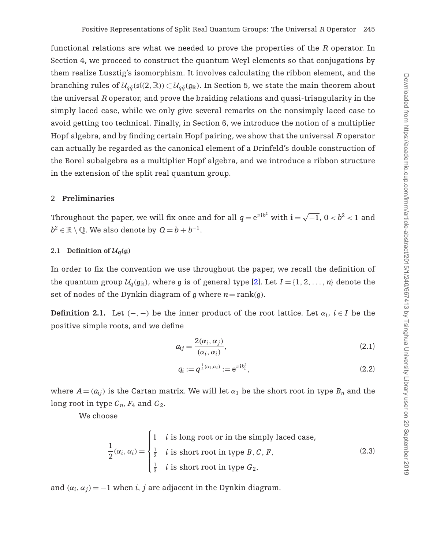functional relations are what we needed to prove the properties of the *R* operator. In Section 4, we proceed to construct the quantum Weyl elements so that conjugations by them realize Lusztig's isomorphism. It involves calculating the ribbon element, and the branching rules of  $\mathcal{U}_{q\bar{q}}(s(2,\mathbb{R})) \subset \mathcal{U}_{q\bar{q}}(s(\mathbb{R}))$ . In Section 5, we state the main theorem about the universal *R* operator, and prove the braiding relations and quasi-triangularity in the simply laced case, while we only give several remarks on the nonsimply laced case to avoid getting too technical. Finally, in Section 6, we introduce the notion of a multiplier Hopf algebra, and by finding certain Hopf pairing, we show that the universal *R* operator can actually be regarded as the canonical element of a Drinfeld's double construction of the Borel subalgebra as a multiplier Hopf algebra, and we introduce a ribbon structure in the extension of the split real quantum group.

# 2 **Preliminaries**

Throughout the paper, we will fix once and for all  $q = \mathrm{e}^{\pi \mathrm{i} b^2}$  with  $\mathrm{i} = \sqrt{-1}$ , 0 <  $b^2 < 1$  and  $b^2 \in \mathbb{R} \setminus \mathbb{Q}$ . We also denote by  $Q = b + b^{-1}$ .

## 2.1 **Definition of**  $U_q(\mathfrak{g})$

In order to fix the convention we use throughout the paper, we recall the definition of the quantum group  $\mathcal{U}_q(\mathfrak{g}_\mathbb{R})$ , where g is of general type [\[2\]](#page-45-5). Let  $I = \{1, 2, ..., n\}$  denote the set of nodes of the Dynkin diagram of  $\mathfrak g$  where  $n = \text{rank}(\mathfrak g)$ .

**Definition 2.1.** Let  $(-, -)$  be the inner product of the root lattice. Let  $\alpha_i$ ,  $i \in I$  be the positive simple roots, and we define

$$
a_{ij} = \frac{2(\alpha_i, \alpha_j)}{(\alpha_i, \alpha_i)},
$$
\n(2.1)

$$
q_i := q^{\frac{1}{2}(\alpha_i, \alpha_i)} := e^{\pi i b_i^2}, \qquad (2.2)
$$

where  $A = (a_{ij})$  is the Cartan matrix. We will let  $\alpha_1$  be the short root in type  $B_n$  and the long root in type  $C_n$ ,  $F_4$  and  $G_2$ .

We choose

$$
\frac{1}{2}(\alpha_i, \alpha_i) = \begin{cases}\n1 & i \text{ is long root or in the simply laced case,} \\
\frac{1}{2} & i \text{ is short root in type } B, C, F, \\
\frac{1}{3} & i \text{ is short root in type } G_2,\n\end{cases}\n\tag{2.3}
$$

and  $(\alpha_i, \alpha_j) = -1$  when *i*, *j* are adjacent in the Dynkin diagram.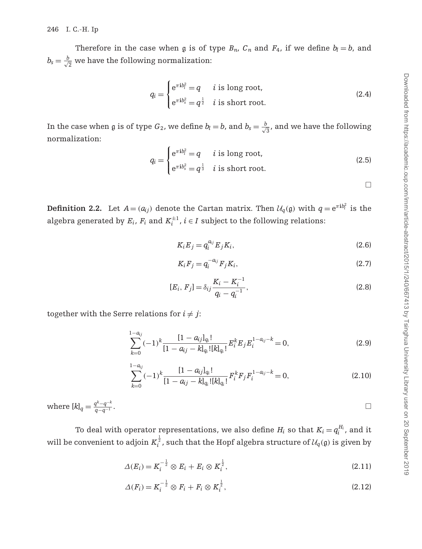Therefore in the case when g is of type  $B_n$ ,  $C_n$  and  $F_4$ , if we define  $b_l = b$ , and  $b_s = \frac{b}{\sqrt{2}}$  we have the following normalization:

$$
q_i = \begin{cases} e^{\pi i b_i^2} = q & i \text{ is long root,} \\ e^{\pi i b_s^2} = q^{\frac{1}{2}} & i \text{ is short root.} \end{cases}
$$
 (2.4)

In the case when g is of type  $G_2$ , we define  $b_l = b$ , and  $b_s = \frac{b}{\sqrt{3}}$ , and we have the following normalization:

$$
q_i = \begin{cases} e^{\pi i b_i^2} = q & i \text{ is long root,} \\ e^{\pi i b_s^2} = q^{\frac{1}{3}} & i \text{ is short root.} \end{cases}
$$
 (2.5)

 $\Box$ 

**Definition 2.2.** Let  $A = (a_{ij})$  denote the Cartan matrix. Then  $U_q(\mathfrak{g})$  with  $q = e^{\pi i b_i^2}$  is the algebra generated by  $E_i$ ,  $F_i$  and  $K_i^{\pm 1}$ ,  $i \in I$  subject to the following relations:

$$
K_i E_j = q_i^{a_{ij}} E_j K_i, \tag{2.6}
$$

$$
K_i F_j = q_i^{-a_{ij}} F_j K_i,
$$
\n
$$
(2.7)
$$

$$
[E_i, F_j] = \delta_{ij} \frac{K_i - K_i^{-1}}{q_i - q_i^{-1}},
$$
\n(2.8)

together with the Serre relations for  $i \neq j$ :

$$
\sum_{k=0}^{1-a_{ij}}(-1)^k \frac{[1-a_{ij}]_{q_i}!}{[1-a_{ij}-k]_{q_i}![k]_{q_i}!} E_i^k E_j E_i^{1-a_{ij}-k} = 0,
$$
\n(2.9)

$$
\sum_{k=0}^{1-a_{ij}}(-1)^k \frac{[1-a_{ij}]_{q_i}!}{[1-a_{ij}-k]_{q_i}![k]_{q_i}!} F_i^k F_j F_i^{1-a_{ij}-k} = 0,
$$
\n(2.10)

where  $[k]_q = \frac{q^k - q^{-k}}{q - q^{-1}}$ . *<sup>q</sup>*−*q*−<sup>1</sup> . -

To deal with operator representations, we also define  $H_i$  so that  $K_i = q_i^{H_i}$ , and it will be convenient to adjoin  $K_i^{\frac{1}{2}}$ , such that the Hopf algebra structure of  $\mathcal{U}_q(\mathfrak{g})$  is given by

$$
\Delta(E_i) = K_i^{-\frac{1}{2}} \otimes E_i + E_i \otimes K_i^{\frac{1}{2}},
$$
\n(2.11)

$$
\Delta(F_i) = K_i^{-\frac{1}{2}} \otimes F_i + F_i \otimes K_i^{\frac{1}{2}},
$$
\n(2.12)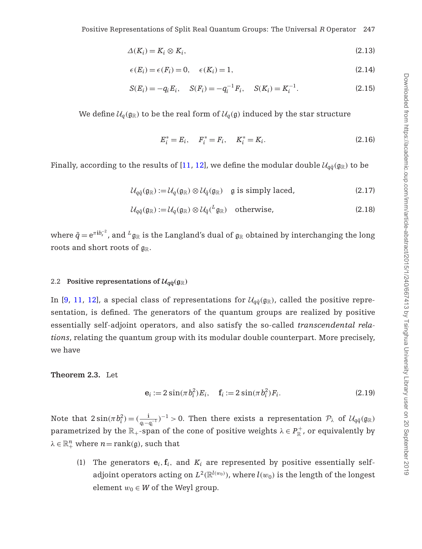$$
\Delta(K_i) = K_i \otimes K_i,\tag{2.13}
$$

$$
\epsilon(E_i) = \epsilon(F_i) = 0, \quad \epsilon(K_i) = 1,
$$
\n(2.14)

$$
S(E_i) = -q_i E_i, \quad S(F_i) = -q_i^{-1} F_i, \quad S(K_i) = K_i^{-1}.
$$
\n(2.15)

We define  $U_q(\mathfrak{g}_{\mathbb{R}})$  to be the real form of  $U_q(\mathfrak{g})$  induced by the star structure

$$
E_i^* = E_i, \quad F_i^* = F_i, \quad K_i^* = K_i.
$$
\n(2.16)

Finally, according to the results of [\[11](#page-46-6), [12](#page-46-7)], we define the modular double  $\mathcal{U}_{q\bar{q}}(g_{\mathbb{R}})$  to be

$$
\mathcal{U}_{q\bar{q}}(\mathfrak{g}_{\mathbb{R}}) := \mathcal{U}_q(\mathfrak{g}_{\mathbb{R}}) \otimes \mathcal{U}_{\bar{q}}(\mathfrak{g}_{\mathbb{R}}) \quad \text{g is simply laced,} \tag{2.17}
$$

$$
\mathcal{U}_{q\bar{q}}(\mathfrak{g}_{\mathbb{R}}) := \mathcal{U}_q(\mathfrak{g}_{\mathbb{R}}) \otimes \mathcal{U}_{\bar{q}}({}^L \mathfrak{g}_{\mathbb{R}}) \quad \text{otherwise},\tag{2.18}
$$

where  $\tilde{q} = e^{\pi i b_s^{-2}}$ , and  $^L g_{\mathbb{R}}$  is the Langland's dual of  $g_{\mathbb{R}}$  obtained by interchanging the long roots and short roots of  $g_{\mathbb{R}}$ .

## 2.2 **Positive representations of**  $\mathcal{U}_{q\tilde{q}}(q_{\mathbb{R}})$

In [\[9,](#page-46-3) [11,](#page-46-6) [12](#page-46-7)], a special class of representations for  $U_{q\bar{q}}(q_R)$ , called the positive representation, is defined. The generators of the quantum groups are realized by positive essentially self-adjoint operators, and also satisfy the so-called *transcendental relations*, relating the quantum group with its modular double counterpart. More precisely, we have

## **Theorem 2.3.** Let

$$
\mathbf{e}_i := 2\sin(\pi b_i^2) E_i, \quad \mathbf{f}_i := 2\sin(\pi b_i^2) F_i.
$$
 (2.19)

Note that  $2 \sin(\pi b_i^2) = (\frac{i}{q_i-q_i^{-1}})^{-1} > 0$ . Then there exists a representation  $\mathcal{P}_\lambda$  of  $\mathcal{U}_{q\bar{q}}(g_\mathbb{R})$ parametrized by the  $\mathbb{R}_+$ -span of the cone of positive weights  $\lambda \in P^+_\mathbb{R}$ , or equivalently by  $\lambda \in \mathbb{R}^n_+$  where  $n = \text{rank}(\mathfrak{g})$ , such that

(1) The generators  $e_i$ ,  $f_i$ , and  $K_i$  are represented by positive essentially selfadjoint operators acting on  $L^2(\mathbb{R}^{l(w_0)})$ , where  $l(w_0)$  is the length of the longest element  $w_0 \in W$  of the Weyl group.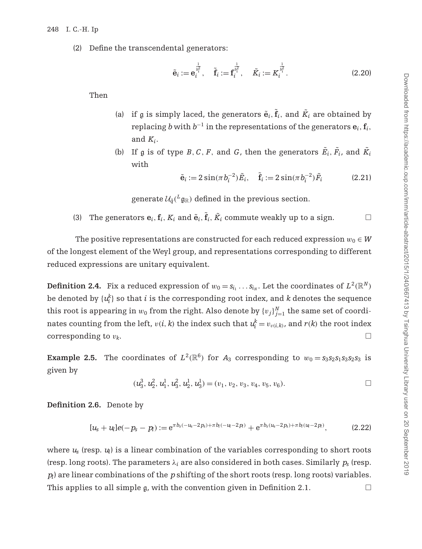(2) Define the transcendental generators:

<span id="page-8-0"></span>
$$
\tilde{\mathbf{e}}_i := \mathbf{e}_i^{\frac{1}{b_i^2}}, \quad \tilde{\mathbf{f}}_i := \mathbf{f}_i^{\frac{1}{b_i^2}}, \quad \tilde{K}_i := K_i^{\frac{1}{b_i^2}}.
$$
\n(2.20)

Then

- (a) if g is simply laced, the generators  $\tilde{\mathbf{e}}_i$ ,  $\tilde{\mathbf{f}}_i$ , and  $\tilde{K}_i$  are obtained by replacing *b* with  $b^{-1}$  in the representations of the generators  $e_i$ ,  $f_i$ , and *Ki*.
- (b) If g is of type *B*, *C*, *F*, and *G*, then the generators  $\tilde{E}_i$ ,  $\tilde{F}_i$ , and  $\tilde{K}_i$ with

$$
\tilde{\mathbf{e}}_i := 2\sin(\pi b_i^{-2})\tilde{E}_i, \quad \tilde{\mathbf{f}}_i := 2\sin(\pi b_i^{-2})\tilde{F}_i \tag{2.21}
$$

generate  $\mathcal{U}_{\tilde{q}}({}^L\mathfrak{g}_{\mathbb{R}})$  defined in the previous section.

(3) The generators  $\mathbf{e}_i, \mathbf{f}_i, K_i$  and  $\tilde{\mathbf{e}}_i, \tilde{\mathbf{f}}_i, \tilde{K}_i$  commute weakly up to a sign.  $\hfill \Box$ 

The positive representations are constructed for each reduced expression  $w_0 \in W$ of the longest element of the Weyl group, and representations corresponding to different reduced expressions are unitary equivalent.

**Definition 2.4.** Fix a reduced expression of  $w_0 = s_i$ , ...  $s_i$ , ... Let the coordinates of  $L^2(\mathbb{R}^N)$ be denoted by  $\{u_i^k\}$  so that  $i$  is the corresponding root index, and  $k$  denotes the sequence this root is appearing in  $w_0$  from the right. Also denote by  $\{v_j\}_{j=1}^N$  the same set of coordinates counting from the left,  $v(i, k)$  the index such that  $u_i^k = v_{v(i, k)}$ , and  $r(k)$  the root index corresponding to  $v_k$ .

**Example 2.5.** The coordinates of  $L^2(\mathbb{R}^6)$  for  $A_3$  corresponding to  $w_0 = s_3 s_2 s_1 s_3 s_2 s_3$  is given by

$$
(u_3^3, u_2^2, u_1^1, u_3^2, u_2^1, u_3^1) = (v_1, v_2, v_3, v_4, v_5, v_6).
$$

**Definition 2.6.** Denote by

$$
[u_s + u_l]e(-p_s - p_l) := e^{\pi b_s(-u_s - 2p_s) + \pi b_l(-u_l - 2p_l)} + e^{\pi b_s(u_s - 2p_s) + \pi b_l(u_l - 2p_l)},
$$
(2.22)

where  $u_s$  (resp.  $u_l$ ) is a linear combination of the variables corresponding to short roots (resp. long roots). The parameters  $\lambda_i$  are also considered in both cases. Similarly  $p_s$  (resp. *pl* ) are linear combinations of the *p*shifting of the short roots (resp. long roots) variables. This applies to all simple g, with the convention given in Definition 2.1.  $\Box$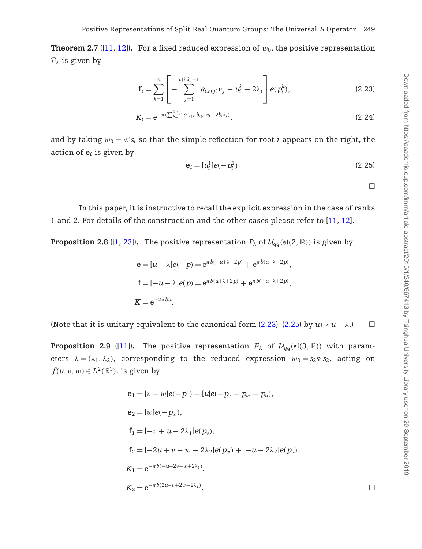**Theorem 2.7** ([\[11,](#page-46-6) [12](#page-46-7)]). For a fixed reduced expression of  $w_0$ , the positive representation  $P_{\lambda}$  is given by

$$
\mathbf{f}_{i} = \sum_{k=1}^{n} \left[ -\sum_{j=1}^{v(i,k)-1} a_{i,r(j)} v_j - u_i^k - 2\lambda_i \right] e(p_i^k), \qquad (2.23)
$$

$$
K_i = e^{-\pi(\sum_{k=1}^{\lfloor (w_0) \rfloor} a_{i, r(k)} b_{r(k)} v_k + 2b_i \lambda_i)},
$$
\n(2.24)

and by taking  $w_0 = w's_i$  so that the simple reflection for root *i* appears on the right, the action of  $e_i$  is given by

<span id="page-9-1"></span>
$$
\mathbf{e}_i = [u_i^1]e(-p_i^1). \tag{2.25}
$$

<span id="page-9-2"></span><span id="page-9-0"></span> $\Box$ 

In this paper, it is instructive to recall the explicit expression in the case of ranks 1 and 2. For details of the construction and the other cases please refer to [\[11,](#page-46-6) [12\]](#page-46-7).

**Proposition 2.8** ([\[1](#page-45-1), [23\]](#page-46-5)). The positive representation  $P_\lambda$  of  $\mathcal{U}_{q\tilde{q}}(\mathfrak{sl}(2,\mathbb{R}))$  is given by

$$
e = [u - \lambda]e(-p) = e^{\pi b(-u + \lambda - 2p)} + e^{\pi b(u - \lambda - 2p)},
$$
  
\n
$$
f = [-u - \lambda]e(p) = e^{\pi b(u + \lambda + 2p)} + e^{\pi b(-u - \lambda + 2p)},
$$
  
\n
$$
K = e^{-2\pi bu}.
$$

(Note that it is unitary equivalent to the canonical form  $(2.23)$ – $(2.25)$  by  $u \mapsto u + \lambda$ .)

**Proposition 2.9** ([\[11\]](#page-46-6)). The positive representation  $P_\lambda$  of  $\mathcal{U}_{q\tilde{q}}(\mathfrak{sl}(3,\mathbb{R}))$  with parameters  $\lambda = (\lambda_1, \lambda_2)$ , corresponding to the reduced expression  $w_0 = s_2 s_1 s_2$ , acting on *f*( $u$ ,  $v$ ,  $w$ )  $\in L^2(\mathbb{R}^3)$ , is given by

$$
e_1 = [v - w]e(-p_v) + [u]e(-p_v + p_w - p_u),
$$
  
\n
$$
e_2 = [w]e(-p_w),
$$
  
\n
$$
f_1 = [-v + u - 2\lambda_1]e(p_v),
$$
  
\n
$$
f_2 = [-2u + v - w - 2\lambda_2]e(p_w) + [-u - 2\lambda_2]e(p_u),
$$
  
\n
$$
K_1 = e^{-\pi b(-u + 2v - w + 2\lambda_1)},
$$
  
\n
$$
K_2 = e^{-\pi b(2u - v + 2w + 2\lambda_2)}.
$$

 $\Box$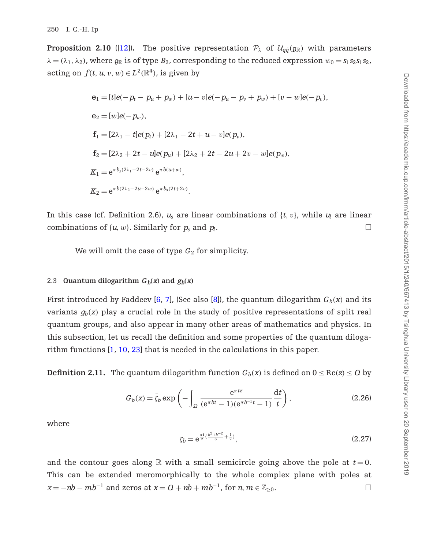**Proposition 2.10** ([\[12\]](#page-46-7)). The positive representation  $P_\lambda$  of  $\mathcal{U}_{q\bar{q}}(g_\mathbb{R})$  with parameters  $\lambda = (\lambda_1, \lambda_2)$ , where  $g_{\mathbb{R}}$  is of type  $B_2$ , corresponding to the reduced expression  $w_0 = s_1 s_2 s_1 s_2$ , acting on  $f(t, u, v, w) \in L^2(\mathbb{R}^4)$ , is given by

$$
e_1 = [t]e(-p_t - p_u + p_w) + [u - v]e(-p_u - p_v + p_w) + [v - w]e(-p_v),
$$
  
\n
$$
e_2 = [w]e(-p_w),
$$
  
\n
$$
f_1 = [2\lambda_1 - t]e(p_t) + [2\lambda_1 - 2t + u - v]e(p_v),
$$
  
\n
$$
f_2 = [2\lambda_2 + 2t - u]e(p_u) + [2\lambda_2 + 2t - 2u + 2v - w]e(p_w),
$$
  
\n
$$
K_1 = e^{\pi b_s(2\lambda_1 - 2t - 2v)} e^{\pi b(u+w)},
$$
  
\n
$$
K_2 = e^{\pi b(2\lambda_2 - 2u - 2w)} e^{\pi b_s(2t + 2v)}.
$$

In this case (cf. Definition 2.6),  $u_s$  are linear combinations of  $\{t, v\}$ , while  $u_l$  are linear combinations of  $\{u, w\}$ . Similarly for  $p_s$  and  $p_l$ .

We will omit the case of type  $G_2$  for simplicity.

## 2.3 **Quantum dilogarithm**  $G_b(x)$  and  $g_b(x)$

First introduced by Faddeev [\[6,](#page-45-2) [7](#page-45-0)], (See also [\[8](#page-46-12)]), the quantum dilogarithm  $G_b(x)$  and its variants  $q_b(x)$  play a crucial role in the study of positive representations of split real quantum groups, and also appear in many other areas of mathematics and physics. In this subsection, let us recall the definition and some properties of the quantum dilogarithm functions [\[1,](#page-45-1) [10,](#page-46-9) [23](#page-46-5)] that is needed in the calculations in this paper.

**Definition 2.11.** The quantum dilogarithm function  $G_b(x)$  is defined on  $0 \le \text{Re}(z) \le Q$  by

$$
G_b(x) = \bar{\zeta}_b \exp\left(-\int_{\Omega} \frac{e^{\pi tz}}{(e^{\pi bt} - 1)(e^{\pi b^{-1}t} - 1)} \frac{dt}{t}\right),\tag{2.26}
$$

where

$$
\zeta_b = e^{\frac{\pi i}{2} \left(\frac{b^2 + b^{-2}}{6} + \frac{1}{2}\right)},\tag{2.27}
$$

and the contour goes along  $\mathbb R$  with a small semicircle going above the pole at  $t=0$ . This can be extended meromorphically to the whole complex plane with poles at  $x = -nb - mb^{-1}$  and zeros at  $x = Q + nb + mb^{-1}$ , for  $n, m \in \mathbb{Z}_{\geq 0}$ .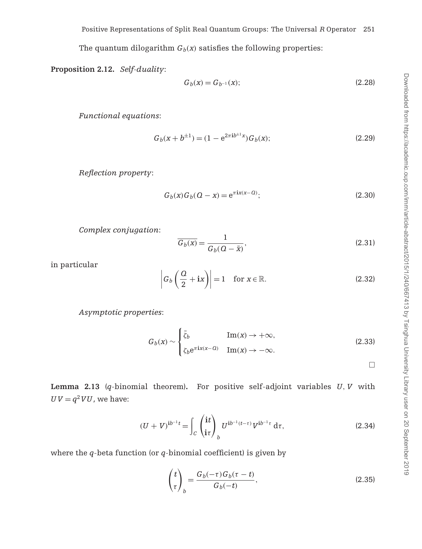The quantum dilogarithm  $G_b(x)$  satisfies the following properties:

**Proposition 2.12.** *Self-duality*:

<span id="page-11-1"></span>
$$
G_b(x) = G_{b^{-1}}(x); \t\t(2.28)
$$

*Functional equations*:

$$
G_b(x+b^{\pm 1}) = (1 - e^{2\pi i b^{\pm 1}x}) G_b(x); \tag{2.29}
$$

*Reflection property*:

$$
G_b(x)G_b(0-x) = e^{\pi ix(x-0)};
$$
\n(2.30)

*Complex conjugation*:

<span id="page-11-2"></span>
$$
\overline{G_b(x)} = \frac{1}{G_b(Q - \bar{x})},\tag{2.31}
$$

in particular

<span id="page-11-0"></span>
$$
\left| G_b \left( \frac{Q}{2} + ix \right) \right| = 1 \quad \text{for } x \in \mathbb{R}.
$$
 (2.32)

*Asymptotic properties*:

$$
G_b(x) \sim \begin{cases} \bar{\zeta}_b & \text{Im}(x) \to +\infty, \\ \zeta_b e^{\pi i x (x - \Omega)} & \text{Im}(x) \to -\infty. \end{cases}
$$
 (2.33)

 $\Box$ 

**Lemma 2.13** (*q*-binomial theorem). For positive self-adjoint variables  $U, V$  with  $UV = q^2 VU$ , we have:

$$
(U+V)^{ib^{-1}t} = \int_C \begin{pmatrix} \mathbf{i}t \\ \mathbf{i}\tau \end{pmatrix}_b U^{ib^{-1}(t-\tau)} V^{ib^{-1}\tau} d\tau,
$$
 (2.34)

where the *q*-beta function (or *q*-binomial coefficient) is given by

$$
\begin{pmatrix} t \\ \tau \end{pmatrix}_b = \frac{G_b(-\tau)G_b(\tau - t)}{G_b(-t)},
$$
\n(2.35)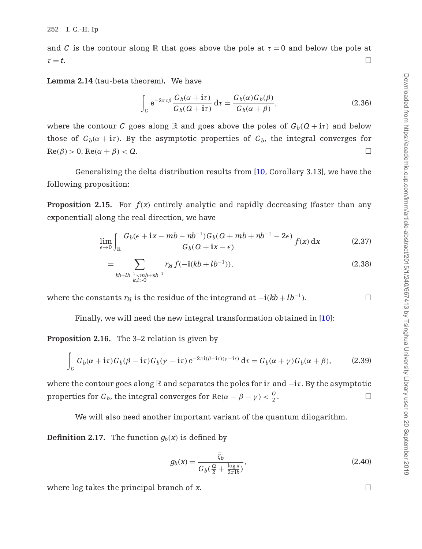and *C* is the contour along R that goes above the pole at  $\tau = 0$  and below the pole at  $\tau = t$ .

**Lemma 2.14** (tau-beta theorem)**.** We have

$$
\int_{C} e^{-2\pi\tau\beta} \frac{G_b(\alpha + i\tau)}{G_b(2 + i\tau)} d\tau = \frac{G_b(\alpha)G_b(\beta)}{G_b(\alpha + \beta)},
$$
\n(2.36)

where the contour *C* goes along R and goes above the poles of  $G_b(Q + i\tau)$  and below those of  $G_b(\alpha + i\tau)$ . By the asymptotic properties of  $G_b$ , the integral converges for  $Re(\beta) > 0, Re(\alpha + \beta) < Q.$ 

Generalizing the delta distribution results from [\[10,](#page-46-9) Corollary 3.13], we have the following proposition:

**Proposition 2.15.** For  $f(x)$  entirely analytic and rapidly decreasing (faster than any exponential) along the real direction, we have

$$
\lim_{\epsilon \to 0} \int_{\mathbb{R}} \frac{G_b(\epsilon + ix - mb - nb^{-1})G_b(0 + mb + nb^{-1} - 2\epsilon)}{G_b(0 + ix - \epsilon)} f(x) dx \tag{2.37}
$$

$$
=\sum_{\substack{kb+lb^{-1} < mb+nb^{-1} \\ k,l > 0}} r_{kl} f(-i(kb+lb^{-1})),\tag{2.38}
$$

where the constants  $r_{kl}$  is the residue of the integrand at  $-i(kb + lb^{-1})$ .  $□$ 

Finally, we will need the new integral transformation obtained in [\[10](#page-46-9)]:

**Proposition 2.16.** The 3–2 relation is given by

$$
\int_{C} G_{b}(\alpha + i\tau) G_{b}(\beta - i\tau) G_{b}(\gamma - i\tau) e^{-2\pi i(\beta - i\tau)(\gamma - i\tau)} d\tau = G_{b}(\alpha + \gamma) G_{b}(\alpha + \beta), \tag{2.39}
$$

where the contour goes along R and separates the poles for **i**τ and −**i**τ . By the asymptotic properties for  $G_b$ , the integral converges for Re( $\alpha - \beta - \gamma$ ) <  $\frac{a}{2}$ .  $\frac{a}{2}$ .

We will also need another important variant of the quantum dilogarithm.

**Definition 2.17.** The function  $g_b(x)$  is defined by

$$
g_b(x) = \frac{\bar{\zeta}_b}{G_b(\frac{Q}{2} + \frac{\log x}{2\pi i b})},
$$
\n(2.40)

where log takes the principal branch of *x*.  $\Box$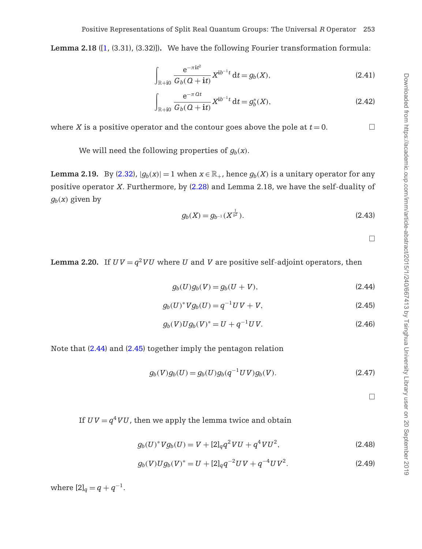**Lemma 2.18** ([\[1](#page-45-1), (3.31), (3.32)])**.** We have the following Fourier transformation formula:

$$
\int_{\mathbb{R}^{+i0}} \frac{e^{-\pi i t^2}}{G_b(2+it)} X^{ib^{-1}t} dt = g_b(X),
$$
\n(2.41)

$$
\int_{\mathbb{R}+\mathrm{i}0} \frac{\mathrm{e}^{-\pi \, \Omega t}}{G_b(\Omega + \mathrm{i}t)} X^{\mathrm{i}b^{-1}t} \, \mathrm{d}t = g_b^*(X),\tag{2.42}
$$

where *X* is a positive operator and the contour goes above the pole at  $t = 0$ .

We will need the following properties of  $g_b(x)$ .

**Lemma 2.19.** By [\(2.32\)](#page-11-0),  $|g_b(x)| = 1$  when  $x \in \mathbb{R}_+$ , hence  $g_b(X)$  is a unitary operator for any positive operator *X*. Furthermore, by [\(2.28\)](#page-11-1) and Lemma 2.18, we have the self-duality of  $g_b(x)$  given by

<span id="page-13-2"></span>
$$
g_b(X) = g_{b^{-1}}(X^{\frac{1}{b^2}}).
$$
\n(2.43)

<span id="page-13-6"></span><span id="page-13-1"></span><span id="page-13-0"></span> $\Box$ 

**Lemma 2.20.** If  $UV = q^2 VU$  where *U* and *V* are positive self-adjoint operators, then

$$
g_b(U)g_b(V) = g_b(U + V),
$$
\n(2.44)

$$
g_b(U)^* V g_b(U) = q^{-1} U V + V,
$$
\n(2.45)

$$
g_b(V)Ug_b(V)^* = U + q^{-1}UV.
$$
\n(2.46)

Note that [\(2.44\)](#page-13-0) and [\(2.45\)](#page-13-1) together imply the pentagon relation

<span id="page-13-3"></span>
$$
g_b(V)g_b(U) = g_b(U)g_b(q^{-1}UV)g_b(V).
$$
\n(2.47)

<span id="page-13-5"></span><span id="page-13-4"></span> $\Box$ 

If  $UV = q^4 VU$ , then we apply the lemma twice and obtain

$$
g_b(U)^* V g_b(U) = V + [2]_q q^2 V U + q^4 V U^2, \qquad (2.48)
$$

$$
g_b(V)Ug_b(V)^* = U + [2]_q q^{-2}UV + q^{-4}UV^2.
$$
 (2.49)

where  $[2]_q = q + q^{-1}$ .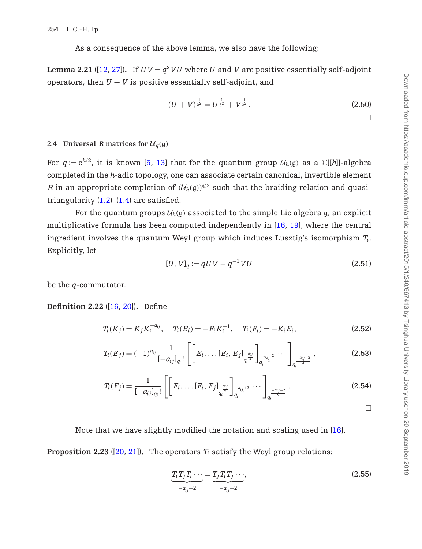As a consequence of the above lemma, we also have the following:

**Lemma 2.21** ([\[12,](#page-46-7) [27\]](#page-47-1)). If  $UV = q^2 VU$  where *U* and *V* are positive essentially self-adjoint operators, then  $U + V$  is positive essentially self-adjoint, and

$$
(U+V)^{\frac{1}{b^2}} = U^{\frac{1}{b^2}} + V^{\frac{1}{b^2}}.
$$
\n(2.50)

 $\Box$ 

# 2.4 **Universal R** matrices for  $U_q(\mathfrak{g})$

For  $q := e^{h/2}$ , it is known [\[5](#page-45-6), [13\]](#page-46-13) that for the quantum group  $\mathcal{U}_h(q)$  as a  $\mathbb{C}[[h]]$ -algebra completed in the *h*-adic topology, one can associate certain canonical, invertible element *R* in an appropriate completion of  $(U_h(\mathfrak{g}))^{\otimes 2}$  such that the braiding relation and quasitriangularity  $(1.2)$ – $(1.4)$  are satisfied.

For the quantum groups  $U_h(q)$  associated to the simple Lie algebra  $q$ , an explicit multiplicative formula has been computed independently in [\[16](#page-46-1), [19](#page-46-2)], where the central ingredient involves the quantum Weyl group which induces Lusztig's isomorphism *Ti*. Explicitly, let

$$
[U, V]_q := qUV - q^{-1}VU
$$
\n(2.51)

be the *q*-commutator.

**Definition 2.22** ([\[16,](#page-46-1) [20](#page-46-14)])**.** Define

$$
T_i(K_j) = K_j K_i^{-a_{ij}}, \quad T_i(E_i) = -F_i K_i^{-1}, \quad T_i(F_i) = -K_i E_i,
$$
\n(2.52)

$$
T_i(E_j) = (-1)^{a_{ij}} \frac{1}{[-a_{ij}]_{q_i}!} \left[ \left[ E_i, \ldots [E_i, E_j]_{q_i^{\frac{a_{ij}}{2}}} \right]_{q_i^{\frac{a_{ij}+2}{2}}} \cdots \right]_{q_i^{\frac{-a_{ij}-2}{2}}}, \tag{2.53}
$$

$$
T_i(F_j) = \frac{1}{[-a_{ij}]_{q_i}!} \left[ \left[ F_i, \ldots [F_i, F_j]_{q_i^{\frac{a_{ij}}{2}}} \right]_{q_i^{\frac{a_{ij}+2}{2}}} \cdots \right]_{q_i^{\frac{-a_{ij}-2}{2}}}.
$$
\n(2.54)

 $\Box$ 

Note that we have slightly modified the notation and scaling used in [\[16](#page-46-1)].

**Proposition 2.23** ([\[20](#page-46-14), [21](#page-46-8)]). The operators  $T_i$  satisfy the Weyl group relations:

<span id="page-14-0"></span>
$$
\underbrace{T_i T_j T_i \cdots}_{-a'_{ij}+2} = \underbrace{T_j T_i T_j \cdots}_{-a'_{ij}+2},\tag{2.55}
$$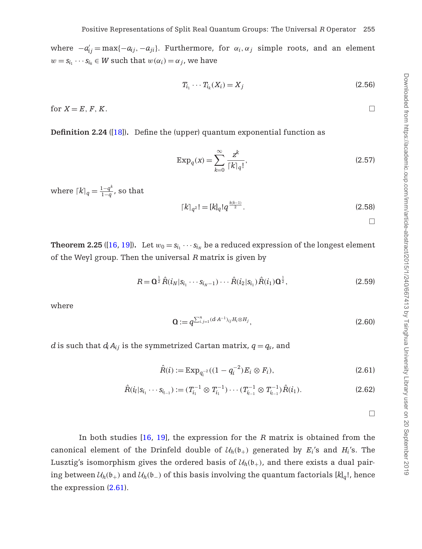for  $X = E$ ,  $F$ ,  $K$ .

where  $-a'_{ij} = \max\{-a_{ij}, -a_{ji}\}$ . Furthermore, for  $\alpha_i, \alpha_j$  simple roots, and an element  $w = s_{i_1} \cdots s_{i_k} \in W$  such that  $w(\alpha_i) = \alpha_j$ , we have

$$
T_{i_1}\cdots T_{i_k}(X_i)=X_j\tag{2.56}
$$

**Definition 2.24** ([\[18](#page-46-15)])**.** Define the (upper) quantum exponential function as

$$
Exp_q(x) = \sum_{k=0}^{\infty} \frac{z^k}{\lceil k \rceil_q!},\tag{2.57}
$$

where  $\lceil k \rceil_q = \frac{1-q^k}{1-q}$ , so that

$$
[k]_{q^2}! = [k]_q! q^{\frac{k(k-1)}{2}}.
$$
\n(2.58)

 $\Box$ 

**Theorem 2.25** ([\[16,](#page-46-1) [19](#page-46-2)]). Let  $w_0 = s_{i_1} \cdots s_{i_N}$  be a reduced expression of the longest element of the Weyl group. Then the universal *R* matrix is given by

$$
R = \mathbf{Q}^{\frac{1}{2}} \hat{R}(i_N | s_{i_1} \cdots s_{i_N - 1}) \cdots \hat{R}(i_2 | s_{i_1}) \hat{R}(i_1) \mathbf{Q}^{\frac{1}{2}},
$$
\n(2.59)

where

$$
\mathbf{Q} := q^{\sum_{i,j=1}^{n} (d \cdot A^{-1})_{ij} H_i \otimes H_j},\tag{2.60}
$$

*d* is such that  $d_i A_{ij}$  is the symmetrized Cartan matrix,  $q = q_s$ , and

$$
\hat{R}(i) := \mathop{\rm Exp}\nolimits_{q_i^{-2}}((1 - q_i^{-2})E_i \otimes F_i),
$$
\n(2.61)

$$
\hat{R}(i_l|s_{i_1}\cdots s_{i_{l-1}}) := (T_{i_1}^{-1} \otimes T_{i_1}^{-1}) \cdots (T_{i_{l-1}}^{-1} \otimes T_{i_{l-1}}^{-1}) \hat{R}(i_1).
$$
\n(2.62)

<span id="page-15-0"></span> $\Box$ 

In both studies [\[16](#page-46-1), [19\]](#page-46-2), the expression for the *R* matrix is obtained from the canonical element of the Drinfeld double of  $U_h(b_+)$  generated by  $E_i$ 's and  $H_i$ 's. The Lusztig's isomorphism gives the ordered basis of  $U_h(b_+)$ , and there exists a dual pairing between  $U_h(b_+)$  and  $U_h(b_-)$  of this basis involving the quantum factorials  $[k]_q$ !, hence the expression [\(2.61\)](#page-15-0).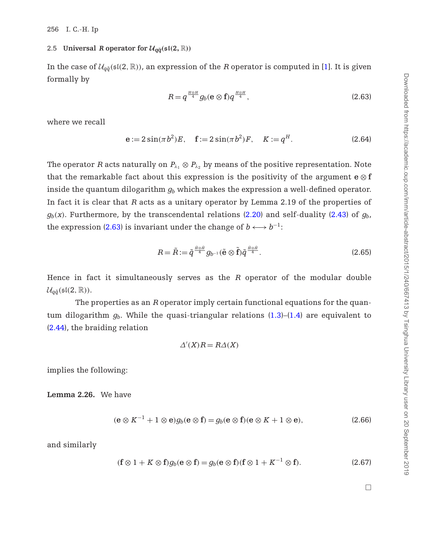#### 2.5 **Universal** *R* **operator for**  $\mathcal{U}_{q\tilde{q}}(s\mathfrak{l}(2,\mathbb{R}))$

In the case of  $\mathcal{U}_{q\tilde{q}}(\mathfrak{sl}(2,\mathbb{R}))$ , an expression of the *R* operator is computed in [\[1\]](#page-45-1). It is given formally by

<span id="page-16-0"></span>
$$
R = q^{\frac{H\otimes H}{4}}g_b(e\otimes f)q^{\frac{H\otimes H}{4}},\tag{2.63}
$$

where we recall

$$
e := 2\sin(\pi b^2)E, \quad f := 2\sin(\pi b^2)F, \quad K := q^H. \tag{2.64}
$$

The operator *R* acts naturally on  $P_{\lambda_1} \otimes P_{\lambda_2}$  by means of the positive representation. Note that the remarkable fact about this expression is the positivity of the argument  $\mathbf{e} \otimes \mathbf{f}$ inside the quantum dilogarithm  $g_b$  which makes the expression a well-defined operator. In fact it is clear that *R* acts as a unitary operator by Lemma 2.19 of the properties of  $g_b(x)$ . Furthermore, by the transcendental relations [\(2.20\)](#page-8-0) and self-duality [\(2.43\)](#page-13-2) of  $g_b$ , the expression [\(2.63\)](#page-16-0) is invariant under the change of  $b \leftrightarrow b^{-1}$ :

$$
R = \tilde{R} := \tilde{q}^{\frac{\tilde{H}\otimes\tilde{H}}{4}} g_{b^{-1}}(\tilde{\mathbf{e}}\otimes\tilde{\mathbf{f}})\tilde{q}^{\frac{\tilde{H}\otimes\tilde{H}}{4}}.
$$
\n(2.65)

Hence in fact it simultaneously serves as the *R* operator of the modular double  $\mathcal{U}_{q\tilde{q}}(\mathfrak{sl}(2,\mathbb{R})).$ 

The properties as an *R* operator imply certain functional equations for the quantum dilogarithm  $g_b$ . While the quasi-triangular relations  $(1.3)$ – $(1.4)$  are equivalent to [\(2.44\)](#page-13-0), the braiding relation

$$
\Delta'(X)R = R\Delta(X)
$$

implies the following:

**Lemma 2.26.** We have

$$
(\mathbf{e} \otimes K^{-1} + 1 \otimes \mathbf{e})g_b(\mathbf{e} \otimes \mathbf{f}) = g_b(\mathbf{e} \otimes \mathbf{f})(\mathbf{e} \otimes K + 1 \otimes \mathbf{e}),
$$
\n(2.66)

and similarly

$$
(\mathbf{f} \otimes 1 + K \otimes \mathbf{f})g_b(\mathbf{e} \otimes \mathbf{f}) = g_b(\mathbf{e} \otimes \mathbf{f})(\mathbf{f} \otimes 1 + K^{-1} \otimes \mathbf{f}). \tag{2.67}
$$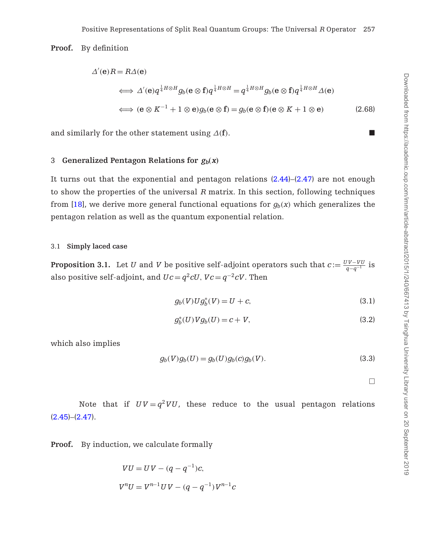**Proof.** By definition

$$
\Delta'(\mathbf{e})R = R\Delta(\mathbf{e})
$$
  
\n
$$
\iff \Delta'(\mathbf{e})q^{\frac{1}{4}H\otimes H}g_b(\mathbf{e}\otimes \mathbf{f})q^{\frac{1}{4}H\otimes H} = q^{\frac{1}{4}H\otimes H}g_b(\mathbf{e}\otimes \mathbf{f})q^{\frac{1}{4}H\otimes H}\Delta(\mathbf{e})
$$
  
\n
$$
\iff (\mathbf{e}\otimes K^{-1} + 1\otimes \mathbf{e})g_b(\mathbf{e}\otimes \mathbf{f}) = g_b(\mathbf{e}\otimes \mathbf{f})(\mathbf{e}\otimes K + 1\otimes \mathbf{e})
$$
\n(2.68)

and similarly for the other statement using  $\Delta(f)$ .

# 3 **Generalized Pentagon Relations for**  $g_b(x)$

It turns out that the exponential and pentagon relations [\(2.44\)](#page-13-0)–[\(2.47\)](#page-13-3) are not enough to show the properties of the universal *R* matrix. In this section, following techniques from [\[18](#page-46-15)], we derive more general functional equations for  $g<sub>b</sub>(x)$  which generalizes the pentagon relation as well as the quantum exponential relation.

# 3.1 **Simply laced case**

**Proposition 3.1.** Let *U* and *V* be positive self-adjoint operators such that  $c := \frac{UV - VU}{q - q^{-1}}$  is also positive self-adjoint, and  $Uc = q^2cU$ ,  $Vc = q^{-2}cV$ . Then

$$
g_b(V)Ug_b^*(V) = U + c,\t\t(3.1)
$$

$$
g_b^*(U)Vg_b(U) = c + V,
$$
\n(3.2)

which also implies

<span id="page-17-0"></span>
$$
g_b(V)g_b(U) = g_b(U)g_b(c)g_b(V). \tag{3.3}
$$

 $\Box$ 

Note that if  $UV = q^2 VU$ , these reduce to the usual pentagon relations  $(2.45)$ – $(2.47)$ .

**Proof.** By induction, we calculate formally

$$
VU = UV - (q - q^{-1})c,
$$
  

$$
V^nU = V^{n-1}UV - (q - q^{-1})V^{n-1}c
$$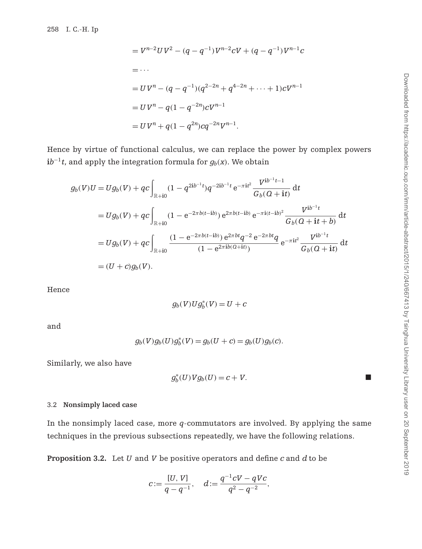$$
= V^{n-2}UV^2 - (q - q^{-1})V^{n-2}cV + (q - q^{-1})V^{n-1}c
$$
  
\n
$$
= \cdots
$$
  
\n
$$
= UV^n - (q - q^{-1})(q^{2-2n} + q^{4-2n} + \cdots + 1)cV^{n-1}
$$
  
\n
$$
= UV^n - q(1 - q^{-2n})cV^{n-1}
$$
  
\n
$$
= UV^n + q(1 - q^{2n})cq^{-2n}V^{n-1}.
$$

Hence by virtue of functional calculus, we can replace the power by complex powers  $i\mathbf{b}^{-1}\mathbf{t}$ , and apply the integration formula for  $g_b(x)$ . We obtain

$$
g_b(V)U = Ug_b(V) + qc \int_{\mathbb{R}+i0} (1 - q^{2ib^{-1}t})q^{-2ib^{-1}t} e^{-\pi i t^2} \frac{V^{ib^{-1}t-1}}{G_b(Q+it)} dt
$$
  
\n
$$
= Ug_b(V) + qc \int_{\mathbb{R}+i0} (1 - e^{-2\pi b(t-ib)}) e^{2\pi b(t-ib)} e^{-\pi i(t-ib)^2} \frac{V^{ib^{-1}t}}{G_b(Q+it+b)} dt
$$
  
\n
$$
= Ug_b(V) + qc \int_{\mathbb{R}+i0} \frac{(1 - e^{-2\pi b(t-ib)}) e^{2\pi bt} q^{-2} e^{-2\pi bt} q}{(1 - e^{2\pi i b(Q+it)})} e^{-\pi i t^2} \frac{V^{ib^{-1}t}}{G_b(Q+it)} dt
$$
  
\n
$$
= (U + c)g_b(V).
$$

Hence

$$
g_b(V)Ug_b^*(V) = U + c
$$

and

$$
g_b(V)g_b(U)g_b^*(V) = g_b(U + c) = g_b(U)g_b(c).
$$

Similarly, we also have

$$
g_b^*(U) V g_b(U) = c + V.
$$

# 3.2 **Nonsimply laced case**

In the nonsimply laced case, more *q*-commutators are involved. By applying the same techniques in the previous subsections repeatedly, we have the following relations.

**Proposition 3.2.** Let *U* and *V* be positive operators and define *c* and *d* to be

$$
c := \frac{[U, V]}{q - q^{-1}}, \quad d := \frac{q^{-1}cV - qVc}{q^2 - q^{-2}},
$$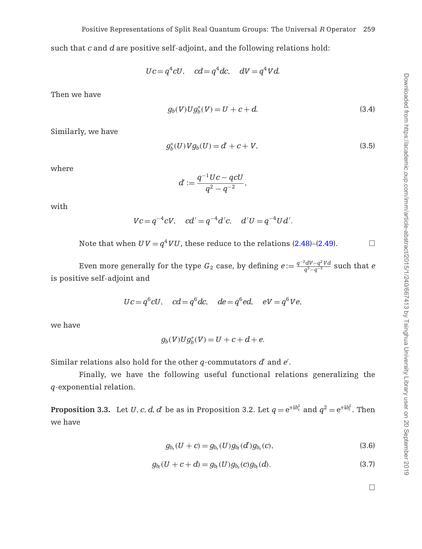such that *c* and *d* are positive self-adjoint, and the following relations hold:

$$
Uc = q^4cU, \quad cd = q^4dc, \quad dV = q^4Vd.
$$

Then we have

$$
g_b(V)Ug_b^*(V) = U + c + d.\t\t(3.4)
$$

Similarly, we have

$$
g_b^*(U)Vg_b(U) = d' + c + V,
$$
\n(3.5)

where

$$
d' := \frac{q^{-1}Uc - qcU}{q^2 - q^{-2}},
$$

with

$$
Vc = q^{-4}cV, \quad cd' = q^{-4}d'c, \quad d'U = q^{-4}Ud'.
$$

Note that when  $UV = q^4 VU$ , these reduce to the relations  $(2.48)$ – $(2.49)$ .

Even more generally for the type  $G_2$  case, by defining  $e \coloneqq \frac{q^{-2}dV-q^2Vd}{q^3-q^{-3}}$  such that  $e$ is positive self-adjoint and

$$
Uc = q6 cU, \quad cd = q6 dc, \quad de = q6 ed, \quad eV = q6 Ve,
$$

we have

$$
g_b(V)Ug_b^*(V) = U + c + d + e.
$$

Similar relations also hold for the other *q*-commutators *d* and *e* .

Finally, we have the following useful functional relations generalizing the *q*-exponential relation.

**Proposition 3.3.** Let *U*, *c*, *d*, *d*<sup>*l*</sup> be as in Proposition 3.2. Let  $q = e^{\pi i b_s^2}$  and  $q^2 = e^{\pi i b_l^2}$ . Then we have

$$
g_{b_s}(U + c) = g_{b_s}(U)g_{b_l}(d')g_{b_s}(c),
$$
\n(3.6)

$$
g_{b_l}(U + c + d) = g_{b_l}(U)g_{b_s}(c)g_{b_l}(d). \qquad (3.7)
$$

 $\Box$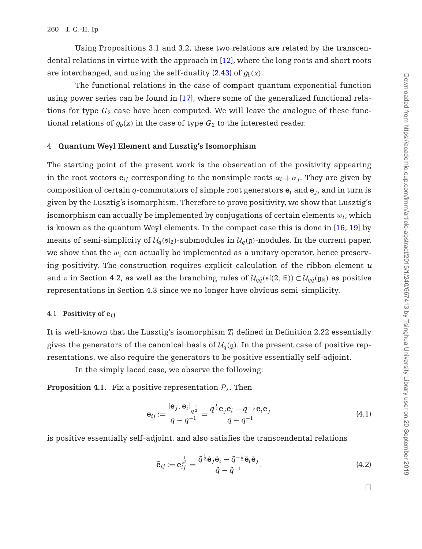Using Propositions 3.1 and 3.2, these two relations are related by the transcendental relations in virtue with the approach in [\[12](#page-46-7)], where the long roots and short roots are interchanged, and using the self-duality  $(2.43)$  of  $g_b(x)$ .

The functional relations in the case of compact quantum exponential function using power series can be found in [\[17](#page-46-16)], where some of the generalized functional relations for type  $G_2$  case have been computed. We will leave the analogue of these functional relations of  $g_b(x)$  in the case of type  $G_2$  to the interested reader.

# 4 **Quantum Weyl Element and Lusztig's Isomorphism**

The starting point of the present work is the observation of the positivity appearing in the root vectors  $e_{ij}$  corresponding to the nonsimple roots  $\alpha_i + \alpha_j$ . They are given by composition of certain *q*-commutators of simple root generators  $e_i$  and  $e_j$ , and in turn is given by the Lusztig's isomorphism. Therefore to prove positivity, we show that Lusztig's isomorphism can actually be implemented by conjugations of certain elements w*i*, which is known as the quantum Weyl elements. In the compact case this is done in [\[16,](#page-46-1) [19\]](#page-46-2) by means of semi-simplicity of  $\mathcal{U}_a(\mathfrak{sl}_2)$ -submodules in  $\mathcal{U}_a(\mathfrak{g})$ -modules. In the current paper, we show that the w*<sup>i</sup>* can actually be implemented as a unitary operator, hence preserving positivity. The construction requires explicit calculation of the ribbon element *u* and v in Section 4.2, as well as the branching rules of  $\mathcal{U}_{q\bar{q}}(\mathfrak{sl}(2,\mathbb{R})) \subset \mathcal{U}_{q\bar{q}}(\mathfrak{g}_{\mathbb{R}})$  as positive representations in Section 4.3 since we no longer have obvious semi-simplicity.

# 4.1 **Positivity of e<sup>i</sup> <sup>j</sup>**

It is well-known that the Lusztig's isomorphism *Ti* defined in Definition 2.22 essentially gives the generators of the canonical basis of  $\mathcal{U}_q(\mathfrak{g})$ . In the present case of positive representations, we also require the generators to be positive essentially self-adjoint.

In the simply laced case, we observe the following:

**Proposition 4.1.** Fix a positive representation  $P_\lambda$ . Then

$$
\mathbf{e}_{ij} := \frac{[\mathbf{e}_j, \mathbf{e}_i]_{q^{\frac{1}{2}}}}{q - q^{-1}} = \frac{q^{\frac{1}{2}} \mathbf{e}_j \mathbf{e}_i - q^{-\frac{1}{2}} \mathbf{e}_i \mathbf{e}_j}{q - q^{-1}} \tag{4.1}
$$

is positive essentially self-adjoint, and also satisfies the transcendental relations

$$
\tilde{\mathbf{e}}_{ij} := \mathbf{e}_{ij}^{\frac{1}{b^2}} = \frac{\tilde{q}^{\frac{1}{2}}\tilde{\mathbf{e}}_j\tilde{\mathbf{e}}_i - \tilde{q}^{-\frac{1}{2}}\tilde{\mathbf{e}}_i\tilde{\mathbf{e}}_j}{\tilde{q} - \tilde{q}^{-1}}.
$$
\n(4.2)

 $\Box$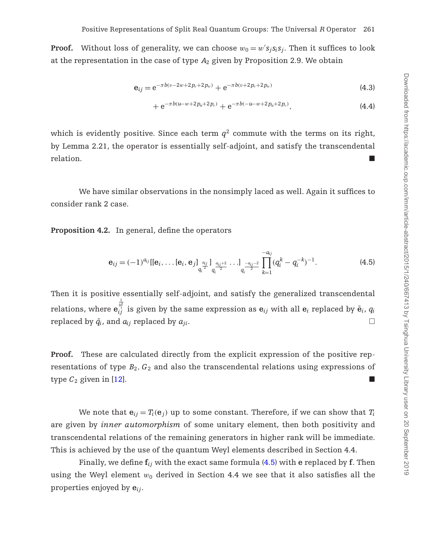**Proof.** Without loss of generality, we can choose  $w_0 = w's_js_is_j$ . Then it suffices to look at the representation in the case of type  $A_2$  given by Proposition 2.9. We obtain

$$
\mathbf{e}_{ij} = e^{-\pi b(v - 2w + 2p_v + 2p_w)} + e^{-\pi b(v + 2p_v + 2p_w)}
$$
(4.3)

$$
+ e^{-\pi b(u-w+2p_u+2p_v)} + e^{-\pi b(-u-w+2p_u+2p_v)}, \qquad (4.4)
$$

which is evidently positive. Since each term  $q^2$  commute with the terms on its right, by Lemma 2.21, the operator is essentially self-adjoint, and satisfy the transcendental relation.

We have similar observations in the nonsimply laced as well. Again it suffices to consider rank 2 case.

**Proposition 4.2.** In general, define the operators

<span id="page-21-0"></span>
$$
\mathbf{e}_{ij} = (-1)^{a_{ij}} \left[ [\mathbf{e}_i, \dots [\mathbf{e}_i, \mathbf{e}_j]_{\substack{a_{ij} \\ q_i^{-2}}} \right]_{q_i^{\frac{a_{ij}+2}{2}}} \dots \left]_{\substack{a_{ij}-2 \\ q_i^{-2}}} \prod_{k=1}^{-a_{ij}} (q_i^k - q_i^{-k})^{-1} \right]. \tag{4.5}
$$

Then it is positive essentially self-adjoint, and satisfy the generalized transcendental relations, where **e**  $\frac{1}{b_i^2}$  is given by the same expression as  $\mathbf{e}_{ij}$  with all  $\mathbf{e}_i$  replaced by  $\tilde{\mathbf{e}}_i$ ,  $q_i$ replaced by  $\tilde{q}_i$ , and  $a_{ij}$  replaced by  $a_{ji}$ .

**Proof.** These are calculated directly from the explicit expression of the positive representations of type  $B_2$ ,  $G_2$  and also the transcendental relations using expressions of type  $C_2$  given in [\[12\]](#page-46-7).

We note that  $e_{ij} = T_i(e_j)$  up to some constant. Therefore, if we can show that  $T_i$ are given by *inner automorphism* of some unitary element, then both positivity and transcendental relations of the remaining generators in higher rank will be immediate. This is achieved by the use of the quantum Weyl elements described in Section 4.4.

Finally, we define  $f_{ij}$  with the exact same formula  $(4.5)$  with  $e$  replaced by  $f$ . Then using the Weyl element  $w_0$  derived in Section 4.4 we see that it also satisfies all the properties enjoyed by **e***i j*.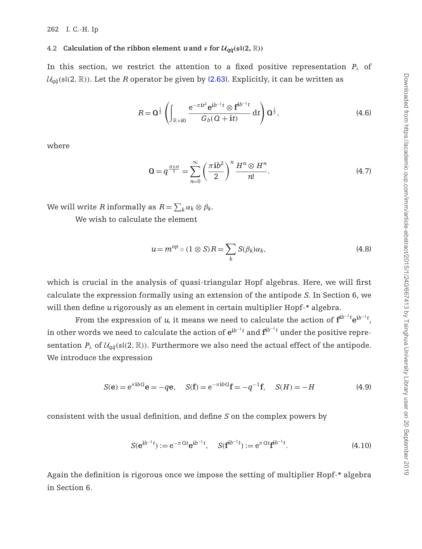#### 4.2 **Calculation of the ribbon element <b>u** and **v** for  $\mathcal{U}_{q\tilde{q}}(\mathfrak{sl}(2,\mathbb{R}))$

In this section, we restrict the attention to a fixed positive representation  $P_\lambda$  of  $U_{q\bar{q}}(\mathfrak{sl}(2,\mathbb{R}))$ . Let the *R* operator be given by [\(2.63\)](#page-16-0). Explicitly, it can be written as

<span id="page-22-0"></span>
$$
R = \mathbf{Q}^{\frac{1}{2}} \left( \int_{\mathbb{R} + i0} \frac{e^{-\pi i t^2} e^{ib^{-1}t} \otimes \mathbf{f}^{ib^{-1}t}}{G_b(Q+it)} dt \right) \mathbf{Q}^{\frac{1}{2}}, \tag{4.6}
$$

where

<span id="page-22-1"></span>
$$
\mathbf{Q} = q^{\frac{H\otimes H}{2}} = \sum_{n=0}^{\infty} \left(\frac{\pi i b^2}{2}\right)^n \frac{H^n \otimes H^n}{n!}.
$$
 (4.7)

We will write *R* informally as  $R = \sum_k \alpha_k \otimes \beta_k$ .

We wish to calculate the element

$$
u = m^{op} \circ (1 \otimes S)R = \sum_{k} S(\beta_k) \alpha_k, \tag{4.8}
$$

which is crucial in the analysis of quasi-triangular Hopf algebras. Here, we will first calculate the expression formally using an extension of the antipode *S*. In Section 6, we will then define *u* rigorously as an element in certain multiplier Hopf-\* algebra.

From the expression of  $u$ , it means we need to calculate the action of  $\mathbf{f}^{ib^{-1}t}\mathbf{e}^{ib^{-1}t}$ ,  $i$ n other words we need to calculate the action of  $e^{ib^{-1}t}$  and  $f^{ib^{-1}t}$  under the positive representation  $P_\lambda$  of  $\mathcal{U}_{q\tilde{q}}(\mathfrak{sl}(2,\mathbb{R}))$ . Furthermore we also need the actual effect of the antipode. We introduce the expression

<span id="page-22-2"></span>
$$
S(\mathbf{e}) = e^{\pi i b \cdot \Omega} \mathbf{e} = -q \mathbf{e}, \quad S(\mathbf{f}) = e^{-\pi i b \cdot \Omega} \mathbf{f} = -q^{-1} \mathbf{f}, \quad S(H) = -H \tag{4.9}
$$

consistent with the usual definition, and define *S* on the complex powers by

$$
S(e^{ib^{-1}t}) := e^{-\pi \Omega t} e^{ib^{-1}t}, \quad S(f^{ib^{-1}t}) := e^{\pi \Omega t} f^{ib^{-1}t}.
$$
 (4.10)

Again the definition is rigorous once we impose the setting of multiplier Hopf-\* algebra in Section 6.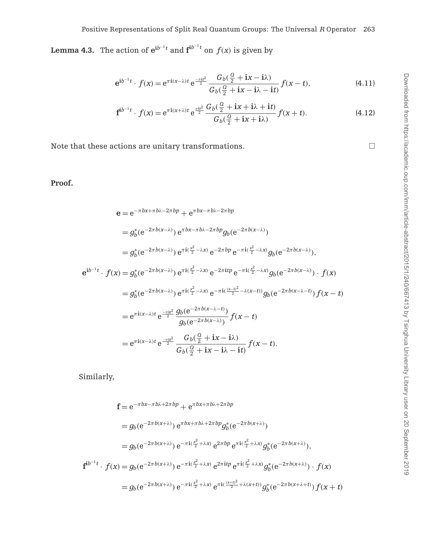**Lemma 4.3.** The action of  $e^{ib^{-1}t}$  and  $f^{ib^{-1}t}$  on  $f(x)$  is given by

$$
e^{ib^{-1}t} \cdot f(x) = e^{\pi i (x-\lambda)t} e^{\frac{-\pi i t^2}{2}} \frac{G_b(\frac{\alpha}{2} + ix - i\lambda)}{G_b(\frac{\alpha}{2} + ix - i\lambda - it)} f(x - t),
$$
(4.11)

$$
\mathbf{f}^{\mathbf{i}b^{-1}t} \cdot f(x) = e^{\pi i (x + \lambda)t} e^{\frac{\pi i t^2}{2}} \frac{G_b(\frac{0}{2} + i x + i \lambda + i t)}{G_b(\frac{0}{2} + i x + i \lambda)} f(x + t).
$$
 (4.12)

Note that these actions are unitary transformations.

**Proof.**

$$
e = e^{-\pi bx + \pi b\lambda - 2\pi bp} + e^{\pi bx - \pi b\lambda - 2\pi bp}
$$
  
\n
$$
= g_b^*(e^{-2\pi b(x-\lambda)}) e^{\pi bx - \pi b\lambda - 2\pi bp} g_b(e^{-2\pi b(x-\lambda)})
$$
  
\n
$$
= g_b^*(e^{-2\pi b(x-\lambda)}) e^{\pi i(\frac{x^2}{2} - \lambda x)} e^{-2\pi bp} e^{-\pi i(\frac{x^2}{2} - \lambda x)} g_b(e^{-2\pi b(x-\lambda)}),
$$
  
\n
$$
e^{ib^{-1}t} \cdot f(x) = g_b^*(e^{-2\pi b(x-\lambda)}) e^{\pi i(\frac{x^2}{2} - \lambda x)} e^{-2\pi i/p} e^{-\pi i(\frac{x^2}{2} - \lambda x)} g_b(e^{-2\pi b(x-\lambda)}) \cdot f(x)
$$
  
\n
$$
= g_b^*(e^{-2\pi b(x-\lambda)}) e^{\pi i(\frac{x^2}{2} - \lambda x)} e^{-\pi i(\frac{(x-t)^2}{2} - \lambda(x-t))} g_b(e^{-2\pi b(x-\lambda-t)}) f(x-t)
$$
  
\n
$$
= e^{\pi i(x-\lambda)t} e^{\frac{-\pi i t^2}{2}} \frac{g_b(e^{-2\pi b(x-\lambda-t)})}{g_b(e^{-2\pi b(x-\lambda)})} f(x-t)
$$
  
\n
$$
= e^{\pi i(x-\lambda)t} e^{\frac{-\pi i t^2}{2}} \frac{G_b(\frac{0}{2} + ix - i\lambda)}{G_b(\frac{0}{2} + ix - i\lambda)} f(x-t).
$$

Similarly,

$$
\mathbf{f} = e^{-\pi bx - \pi b\lambda + 2\pi bp} + e^{\pi bx + \pi b\lambda + 2\pi bp}
$$
  
\n
$$
= g_b(e^{-2\pi b(x + \lambda)}) e^{\pi bx + \pi b\lambda + 2\pi bp} g_b^*(e^{-2\pi b(x + \lambda)})
$$
  
\n
$$
= g_b(e^{-2\pi b(x + \lambda)}) e^{-\pi i(\frac{x^2}{2} + \lambda x)} e^{2\pi bp} e^{\pi i(\frac{x^2}{2} + \lambda x)} g_b^*(e^{-2\pi b(x + \lambda)}),
$$
  
\n
$$
\mathbf{f}^{ib^{-1}t} \cdot f(x) = g_b(e^{-2\pi b(x + \lambda)}) e^{-\pi i(\frac{x^2}{2} + \lambda x)} e^{2\pi i p} e^{\pi i(\frac{x^2}{2} + \lambda x)} g_b^*(e^{-2\pi b(x + \lambda)}) \cdot f(x)
$$
  
\n
$$
= g_b(e^{-2\pi b(x + \lambda)}) e^{-\pi i(\frac{x^2}{2} + \lambda x)} e^{\pi i(\frac{(x + \mu)^2}{2} + \lambda(x + t))} g_b^*(e^{-2\pi b(x + \lambda + t)}) f(x + t)
$$

 $\Box$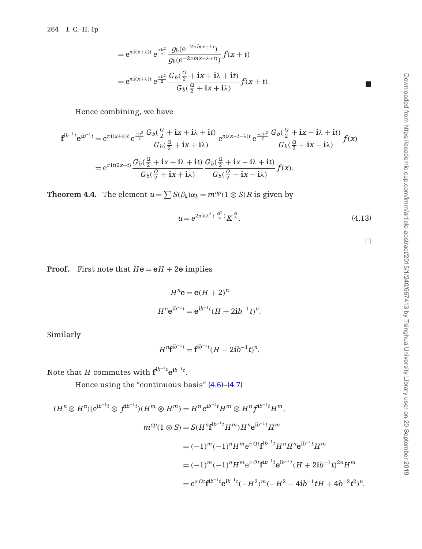$$
= e^{\pi i (x+\lambda)t} e^{\frac{\pi i t^2}{2}} \frac{g_b(e^{-2\pi b(x+\lambda)})}{g_b(e^{-2\pi b(x+\lambda+t)})} f(x+t)
$$
  

$$
= e^{\pi i (x+\lambda)t} e^{\frac{\pi i t^2}{2}} \frac{G_b(\frac{Q}{2} + ix + i\lambda + it)}{G_b(\frac{Q}{2} + ix + i\lambda)} f(x+t).
$$

Hence combining, we have

$$
\mathbf{f}^{\mathbf{i}b^{-1}t}\mathbf{e}^{\mathbf{i}b^{-1}t} = e^{\pi i(x+\lambda)t} e^{\frac{\pi i t^2}{2}} \frac{G_b(\frac{Q}{2} + \mathbf{i}x + \mathbf{i}\lambda + \mathbf{i}t)}{G_b(\frac{Q}{2} + \mathbf{i}x + \mathbf{i}\lambda)} e^{\pi i(x+t-\lambda)t} e^{\frac{-\pi i t^2}{2}} \frac{G_b(\frac{Q}{2} + \mathbf{i}x - \mathbf{i}\lambda + \mathbf{i}t)}{G_b(\frac{Q}{2} + \mathbf{i}x - \mathbf{i}\lambda)} f(x)
$$

$$
= e^{\pi i t(2x+t)} \frac{G_b(\frac{Q}{2} + \mathbf{i}x + \mathbf{i}\lambda + \mathbf{i}t)}{G_b(\frac{Q}{2} + \mathbf{i}x + \mathbf{i}\lambda)} \frac{G_b(\frac{Q}{2} + \mathbf{i}x - \mathbf{i}\lambda + \mathbf{i}t)}{G_b(\frac{Q}{2} + \mathbf{i}x - \mathbf{i}\lambda)} f(x).
$$

**Theorem 4.4.** The element  $u = \sum S(\beta_k) \alpha_k = m^{op}(1 \otimes S)R$  is given by

$$
u = e^{2\pi i(\lambda^2 + \frac{a^2}{4})} K^{\frac{a}{b}}.
$$
\n
$$
(4.13)
$$

**Proof.** First note that  $He = eH + 2e$  implies

$$
Hne = e(H + 2)n
$$

$$
Hneib-1t = eib-1t(H + 2ib-1t)n.
$$

Similarly

$$
H^n \mathbf{f}^{\mathbf{i}b^{-1}t} = \mathbf{f}^{\mathbf{i}b^{-1}t} (H - 2\mathbf{i}b^{-1}t)^n.
$$

Note that  $H$  commutes with  $\mathbf{f}^{ib^{-1}t}\mathbf{e}^{ib^{-1}t}.$ 

Hence using the "continuous basis" [\(4.6\)](#page-22-0)–[\(4.7\)](#page-22-1)

$$
(H^{n} \otimes H^{n})(e^{ib^{-1}t} \otimes f^{ib^{-1}t})(H^{m} \otimes H^{m}) = H^{n}e^{ib^{-1}t}H^{m} \otimes H^{n}f^{ib^{-1}t}H^{m},
$$
  

$$
m^{op}(1 \otimes S) = S(H^{n}\mathbf{f}^{ib^{-1}t}H^{m})H^{n}\mathbf{e}^{ib^{-1}t}H^{m}
$$
  

$$
= (-1)^{m}(-1)^{n}H^{m}\mathbf{e}^{\pi \Omega t}\mathbf{f}^{ib^{-1}t}H^{n}H^{n}\mathbf{e}^{ib^{-1}t}H^{m}
$$
  

$$
= (-1)^{m}(-1)^{n}H^{m}\mathbf{e}^{\pi \Omega t}\mathbf{f}^{ib^{-1}t}\mathbf{e}^{ib^{-1}t}(H + 2ib^{-1}t)^{2n}H^{m}
$$
  

$$
= \mathbf{e}^{\pi \Omega t}\mathbf{f}^{ib^{-1}t}\mathbf{e}^{ib^{-1}t}(-H^{2})^{m}(-H^{2} - 4ib^{-1}tH + 4b^{-2}t^{2})^{n}.
$$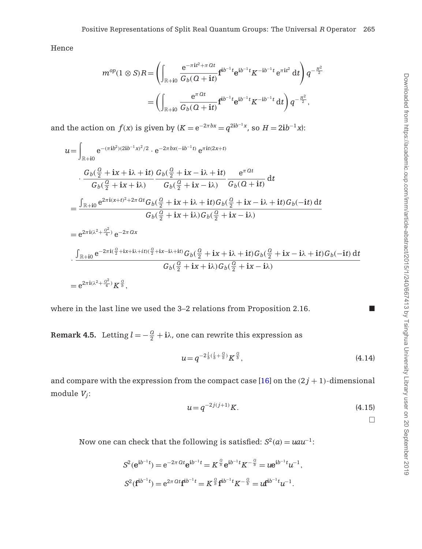Hence

$$
m^{op}(1 \otimes S)R = \left(\int_{\mathbb{R}+i0} \frac{e^{-\pi i t^2 + \pi \Omega t}}{G_b(0+it)} f^{ib^{-1}t} e^{ib^{-1}t} K^{-ib^{-1}t} e^{\pi i t^2} dt\right) q^{-\frac{H^2}{2}}
$$

$$
= \left(\int_{\mathbb{R}+i0} \frac{e^{\pi \Omega t}}{G_b(0+it)} f^{ib^{-1}t} e^{ib^{-1}t} K^{-ib^{-1}t} dt\right) q^{-\frac{H^2}{2}},
$$

and the action on  $f(x)$  is given by  $(K = e^{-2\pi bx} = q^{2ib^{-1}x}$ , so  $H = 2ib^{-1}x$ ):

$$
u = \int_{\mathbb{R}+i0} e^{-(\pi i b^2)(2i b^{-1}x)^2/2} \cdot e^{-2\pi bx(-i b^{-1}t)} e^{\pi i t(2x+t)}
$$
  
\n
$$
\cdot \frac{G_b(\frac{a}{2} + ix + i\lambda + it)}{G_b(\frac{a}{2} + ix + i\lambda)} \frac{G_b(\frac{a}{2} + ix - i\lambda + it)}{G_b(\frac{a}{2} + ix - i\lambda)} \frac{e^{\pi a t}}{G_b(a + it)} dt
$$
  
\n
$$
= \frac{\int_{\mathbb{R}+i0} e^{2\pi i (x+t)^2 + 2\pi a t} G_b(\frac{a}{2} + ix + i\lambda + it) G_b(\frac{a}{2} + ix - i\lambda + it) G_b(-it) dt}{G_b(\frac{a}{2} + ix + i\lambda) G_b(\frac{a}{2} + ix - i\lambda)}
$$
  
\n
$$
= e^{2\pi i (\lambda^2 + \frac{a^2}{4})} e^{-2\pi a x}
$$
  
\n
$$
\cdot \frac{\int_{\mathbb{R}+i0} e^{-2\pi i (\frac{a}{2} + ix + i\lambda + it)(\frac{a}{2} + ix - i\lambda + it)} G_b(\frac{a}{2} + ix + i\lambda + it) G_b(\frac{a}{2} + ix - i\lambda + it) G_b(-it) dt}{G_b(\frac{a}{2} + ix + i\lambda) G_b(\frac{a}{2} + ix - i\lambda)}
$$
  
\n
$$
= e^{2\pi i (\lambda^2 + \frac{a^2}{4})} K^{\frac{a}{b}},
$$

where in the last line we used the 3–2 relations from Proposition 2.16.

**Remark 4.5.** Letting  $l = -\frac{a}{2} + i\lambda$ , one can rewrite this expression as

$$
u = q^{-2\frac{l}{b}(\frac{l}{b} + \frac{Q}{b})} K^{\frac{Q}{b}},\tag{4.14}
$$

and compare with the expression from the compact case  $[16]$  $[16]$  on the  $(2j + 1)$ -dimensional module *Vj*:

$$
u = q^{-2j(j+1)}K.\t\t(4.15)
$$

 $\Box$ 

Now one can check that the following is satisfied:  $S^2(a) = uau^{-1}$ :

$$
S^{2}(\mathbf{e}^{\mathbf{i}b^{-1}t}) = e^{-2\pi \Omega t} \mathbf{e}^{\mathbf{i}b^{-1}t} = K^{\frac{\Omega}{b}} \mathbf{e}^{\mathbf{i}b^{-1}t} K^{-\frac{\Omega}{b}} = u \mathbf{e}^{\mathbf{i}b^{-1}t} u^{-1},
$$
  

$$
S^{2}(\mathbf{f}^{\mathbf{i}b^{-1}t}) = e^{2\pi \Omega t} \mathbf{f}^{\mathbf{i}b^{-1}t} = K^{\frac{\Omega}{b}} \mathbf{f}^{\mathbf{i}b^{-1}t} K^{-\frac{\Omega}{b}} = u \mathbf{f}^{\mathbf{i}b^{-1}t} u^{-1}.
$$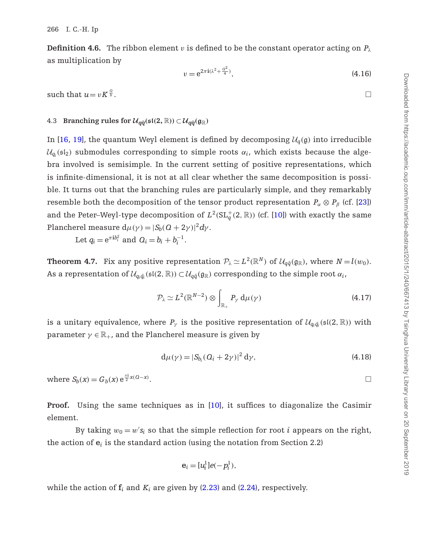**Definition 4.6.** The ribbon element v is defined to be the constant operator acting on  $P_\lambda$ as multiplication by

<span id="page-26-0"></span>
$$
v = e^{2\pi i(\lambda^2 + \frac{a^2}{4})},\tag{4.16}
$$

such that  $u = vK^{\frac{a}{b}}$ .  $\overline{b}$  .

## 4.3 **Branching rules for**  $\mathcal{U}_{q\tilde{q}}(\mathfrak{sl}(2,\mathbb{R})) \subset \mathcal{U}_{q\tilde{q}}(\mathfrak{g}_{\mathbb{R}})$

In [\[16,](#page-46-1) [19\]](#page-46-2), the quantum Weyl element is defined by decomposing  $U_q(\mathfrak{g})$  into irreducible  $U_{q_i}$ (sl<sub>2</sub>) submodules corresponding to simple roots  $\alpha_i$ , which exists because the algebra involved is semisimple. In the current setting of positive representations, which is infinite-dimensional, it is not at all clear whether the same decomposition is possible. It turns out that the branching rules are particularly simple, and they remarkably resemble both the decomposition of the tensor product representation  $P_\alpha \otimes P_\beta$  (cf. [\[23](#page-46-5)]) and the Peter–Weyl-type decomposition of  $L^2(\mathrm{SL}_q^+(2,\mathbb{R}))$  (cf. [\[10\]](#page-46-9)) with exactly the same Plancherel measure  $d\mu(\gamma) = |S_b(Q + 2\gamma)|^2 d\gamma$ .

Let  $q_i = e^{\pi i b_i^2}$  and  $Q_i = b_i + b_i^{-1}$ .

**Theorem 4.7.** Fix any positive representation  $P_{\lambda} \simeq L^2(\mathbb{R}^N)$  of  $\mathcal{U}_{q\tilde{q}}(g_{\mathbb{R}})$ , where  $N = l(w_0)$ . As a representation of  $\mathcal{U}_{q_i\tilde{q_i}}(\mathfrak{sl}(2,\mathbb{R})) \subset \mathcal{U}_{q\tilde{q}}(\mathfrak{g}_{\mathbb{R}})$  corresponding to the simple root  $\alpha_i$ ,

$$
\mathcal{P}_{\lambda} \simeq L^{2}(\mathbb{R}^{N-2}) \otimes \int_{\mathbb{R}_{+}} P_{\gamma} d\mu(\gamma) \qquad (4.17)
$$

is a unitary equivalence, where  $P_\gamma$  is the positive representation of  $\mathcal{U}_{q_i\tilde{q}_i}(\mathfrak{sl}(2,\mathbb{R}))$  with parameter  $\gamma \in \mathbb{R}_+$ , and the Plancherel measure is given by

$$
d\mu(\gamma) = |S_{b_i}(Q_i + 2\gamma)|^2 dy, \qquad (4.18)
$$

where  $S_b(x) = G_b(x) e^{\frac{\pi i}{2}x(Q-x)}$ . The contract of the contract of the contract of the contract of the contract of the contract of the contract of the contract of the contract of the contract of the contract of the contract of the contract of the contrac

**Proof.** Using the same techniques as in [\[10\]](#page-46-9), it suffices to diagonalize the Casimir element.

By taking  $w_0 = w's_i$  so that the simple reflection for root *i* appears on the right, the action of  $\mathbf{e}_i$  is the standard action (using the notation from Section 2.2)

$$
\mathbf{e}_i = [u_i^1]e(-p_i^1),
$$

while the action of  $f_i$  and  $K_i$  are given by [\(2.23\)](#page-9-0) and [\(2.24\)](#page-9-2), respectively.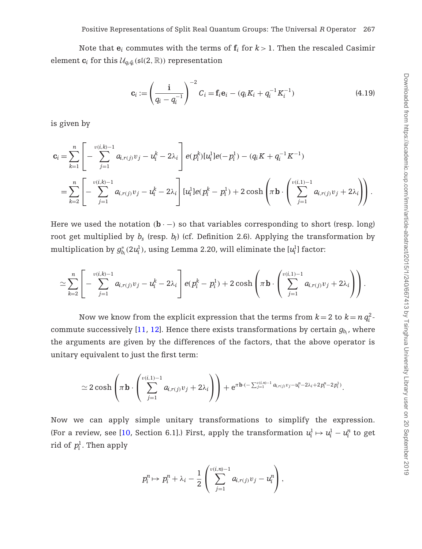Note that  $e_i$  commutes with the terms of  $f_i$  for  $k > 1$ . Then the rescaled Casimir element  $\mathbf{c}_i$  for this  $\mathcal{U}_{q_i\tilde{q}_i}(\mathfrak{sl}(2,\mathbb{R}))$  representation

$$
\mathbf{c}_{i} := \left(\frac{\mathbf{i}}{q_{i} - q_{i}^{-1}}\right)^{-2} C_{i} = \mathbf{f}_{i} \mathbf{e}_{i} - (q_{i} K_{i} + q_{i}^{-1} K_{i}^{-1})
$$
(4.19)

is given by

$$
\mathbf{c}_{i} = \sum_{k=1}^{n} \left[ -\sum_{j=1}^{v(i,k)-1} a_{i,r(j)}v_{j} - u_{i}^{k} - 2\lambda_{i} \right] e(p_{i}^{k})[u_{i}^{1}]e(-p_{i}^{1}) - (q_{i}K + q_{i}^{-1}K^{-1})
$$
\n
$$
= \sum_{k=2}^{n} \left[ -\sum_{j=1}^{v(i,k)-1} a_{i,r(j)}v_{j} - u_{i}^{k} - 2\lambda_{i} \right] [u_{i}^{1}]e(p_{i}^{k} - p_{i}^{1}) + 2\cosh\left(\pi \mathbf{b} \cdot \left(\sum_{j=1}^{v(i,1)-1} a_{i,r(j)}v_{j} + 2\lambda_{i}\right)\right).
$$

Here we used the notation  $(\mathbf{b} \cdot -)$  so that variables corresponding to short (resp. long) root get multiplied by  $b_s$  (resp.  $b_l$ ) (cf. Definition 2.6). Applying the transformation by multiplication by  $g_{b_i}^*(2u_i^1)$ , using Lemma 2.20, will eliminate the  $[u_i^1]$  factor:

$$
\simeq \sum_{k=2}^n \left[ - \sum_{j=1}^{v(i,k)-1} a_{i,r(j)} v_j - u_i^k - 2 \lambda_i \right] e(p_i^k - p_i^1) + 2 \cosh \left( \pi \mathbf{b} \cdot \left( \sum_{j=1}^{v(i,1)-1} a_{i,r(j)} v_j + 2 \lambda_i \right) \right).
$$

Now we know from the explicit expression that the terms from  $k = 2$  to  $k = n q_i^2$ . commute successively  $[11, 12]$  $[11, 12]$  $[11, 12]$  $[11, 12]$ . Hence there exists transformations by certain  $q_{b_i}$ , where the arguments are given by the differences of the factors, that the above operator is unitary equivalent to just the first term:

$$
\simeq 2\cosh\left(\pi\mathbf{b}\cdot\left(\sum_{j=1}^{v(i,1)-1}a_{i,r(j)}v_j+2\lambda_i\right)\right)+e^{\pi\mathbf{b}\cdot(-\sum_{j=1}^{v(i,n)-1}a_{i,r(j)}v_j-u_i^n-2\lambda_i+2p_i^n-2p_i^1)}.
$$

Now we can apply simple unitary transformations to simplify the expression. (For a review, see [\[10](#page-46-9), Section 6.1].) First, apply the transformation  $u_i^1 \mapsto u_i^1 - u_i^n$  to get rid of  $p^{\rm l}_{i}$ . Then apply

$$
p_i^n \mapsto p_i^n + \lambda_i - \frac{1}{2} \left( \sum_{j=1}^{v(i,n)-1} a_{i,r(j)} v_j - u_i^n \right),
$$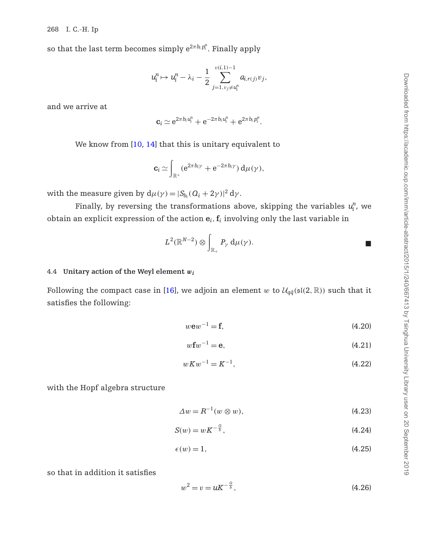so that the last term becomes simply  $\mathrm{e}^{2\pi b_i p_i^n}.$  Finally apply

$$
u_i^n\mapsto u_i^n-\lambda_i-\frac{1}{2}\sum_{j=1,\,v_j\neq u_i^n}^{v(i,1)-1}a_{i,r(j)}v_j,
$$

and we arrive at

$$
\mathbf{c}_i \simeq e^{2\pi b_i u_i^n} + e^{-2\pi b_i u_i^n} + e^{2\pi b_i p_i^n}.
$$

We know from [\[10](#page-46-9), [14\]](#page-46-0) that this is unitary equivalent to

$$
\mathbf{c}_i \simeq \int_{\mathbb{R}^+} (e^{2\pi b_i \gamma} + e^{-2\pi b_i \gamma}) \, d\mu(\gamma),
$$

with the measure given by  $d\mu(\gamma) = |S_{b_i}(Q_i + 2\gamma)|^2 d\gamma$ .

Finally, by reversing the transformations above, skipping the variables  $u_i^n$ , we obtain an explicit expression of the action **e***i*,**f***<sup>i</sup>* involving only the last variable in

$$
L^{2}(\mathbb{R}^{N-2})\otimes\int_{\mathbb{R}_{+}}P_{\gamma}\,\mathrm{d}\mu(\gamma).
$$

#### 4.4 **Unitary action of the Weyl element** *w***<sup>i</sup>**

Following the compact case in [\[16](#page-46-1)], we adjoin an element w to  $\mathcal{U}_{q\tilde{q}}(\mathfrak{sl}(2,\mathbb{R}))$  such that it satisfies the following:

$$
w \mathbf{e} w^{-1} = \mathbf{f},\tag{4.20}
$$

$$
w \mathbf{f} w^{-1} = \mathbf{e},\tag{4.21}
$$

$$
wKw^{-1} = K^{-1},\tag{4.22}
$$

with the Hopf algebra structure

$$
\Delta w = R^{-1}(w \otimes w),\tag{4.23}
$$

$$
S(w) = wK^{-\frac{0}{b}},
$$
\n(4.24)

$$
\epsilon(w) = 1,\tag{4.25}
$$

so that in addition it satisfies

$$
w^2 = v = uK^{-\frac{0}{b}},\tag{4.26}
$$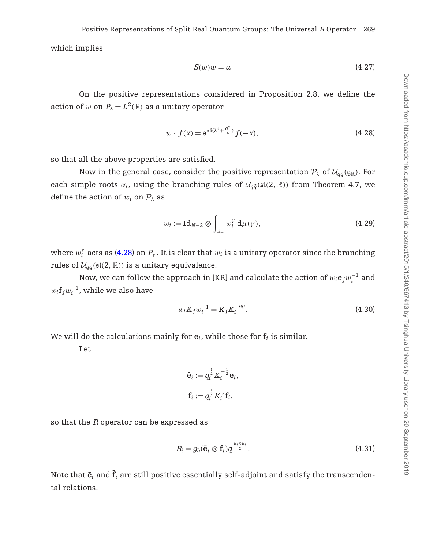which implies

$$
S(w)w = u.\t\t(4.27)
$$

On the positive representations considered in Proposition 2.8, we define the action of w on  $P_{\lambda} = L^2(\mathbb{R})$  as a unitary operator

<span id="page-29-0"></span>
$$
w \cdot f(x) = e^{\pi i (\lambda^2 + \frac{\alpha^2}{4})} f(-x),
$$
\n(4.28)

so that all the above properties are satisfied.

Now in the general case, consider the positive representation  $P_\lambda$  of  $\mathcal{U}_{q\tilde{q}}(g_\mathbb{R})$ . For each simple roots  $\alpha_i$ , using the branching rules of  $\mathcal{U}_{q\tilde{q}}(\mathfrak{sl}(2,\mathbb{R}))$  from Theorem 4.7, we define the action of  $w_i$  on  $P_\lambda$  as

<span id="page-29-1"></span>
$$
w_i := \mathrm{Id}_{N-2} \otimes \int_{\mathbb{R}_+} w_i^{\gamma} \, \mathrm{d}\mu(\gamma), \tag{4.29}
$$

where  $w_i^\gamma$  acts as [\(4.28\)](#page-29-0) on  $P_\gamma$ . It is clear that  $w_i$  is a unitary operator since the branching rules of  $\mathcal{U}_{q\tilde{q}}(\mathfrak{sl}(2,\mathbb{R}))$  is a unitary equivalence.

Now, we can follow the approach in [KR] and calculate the action of  $w_i{\bf e}_jw_i^{-1}$  and  $w_i \mathbf{f}_j w_i^{-1}$ , while we also have

$$
w_i K_j w_i^{-1} = K_j K_i^{-a_{ij}}.
$$
\n(4.30)

We will do the calculations mainly for **e***i*, while those for **f***<sup>i</sup>* is similar.

Let

$$
\bar{\mathbf{e}}_i := q_i^{\frac{1}{2}} K_i^{-\frac{1}{2}} \mathbf{e}_i,
$$
  

$$
\bar{\mathbf{f}}_i := q_i^{\frac{1}{2}} K_i^{\frac{1}{2}} \mathbf{f}_i,
$$

so that the *R* operator can be expressed as

$$
R_i = g_b(\bar{\mathbf{e}}_i \otimes \bar{\mathbf{f}}_i) q^{\frac{H_i \otimes H_i}{2}}.
$$
\n(4.31)

Note that  $\bar{\mathbf{e}}_i$  and  $\bar{\mathbf{f}}_i$  are still positive essentially self-adjoint and satisfy the transcendental relations.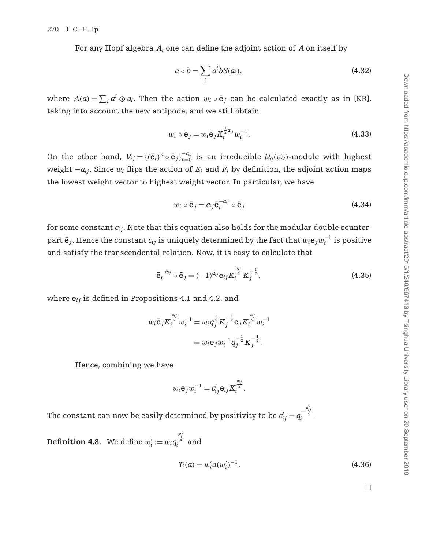For any Hopf algebra *A*, one can define the adjoint action of *A* on itself by

$$
a \circ b = \sum_{i} a^{i} b S(a_{i}), \qquad (4.32)
$$

where  $\Delta(a) = \sum_i a^i \otimes a_i$ . Then the action  $w_i \circ \bar{e}_j$  can be calculated exactly as in [KR], taking into account the new antipode, and we still obtain

$$
w_i \circ \bar{\mathbf{e}}_j = w_i \bar{\mathbf{e}}_j K_i^{\frac{1}{2}a_{ij}} w_i^{-1}.
$$
\n(4.33)

On the other hand,  $V_{ij} = \{(\bar{\mathbf{e}}_i)^n \circ \bar{\mathbf{e}}_j\}_{n=0}^{a_{ij}}$  is an irreducible  $\mathcal{U}_q(\mathfrak{sl}_2)$ -module with highest weight  $-a_{ij}$ . Since  $w_i$  flips the action of  $E_i$  and  $F_i$  by definition, the adjoint action maps the lowest weight vector to highest weight vector. In particular, we have

$$
w_i \circ \bar{\mathbf{e}}_j = c_{ij}\bar{\mathbf{e}}_i^{-a_{ij}} \circ \bar{\mathbf{e}}_j \tag{4.34}
$$

for some constant  $c_{ij}$ . Note that this equation also holds for the modular double counter $p$ art  $\tilde{\bf e}_j$ . Hence the constant  $c_{ij}$  is uniquely determined by the fact that  $w_i{\bf e}_jw_i^{-1}$  is positive and satisfy the transcendental relation. Now, it is easy to calculate that

$$
\bar{\mathbf{e}}_i^{-a_{ij}} \circ \bar{\mathbf{e}}_j = (-1)^{a_{ij}} \mathbf{e}_{ij} K_i^{\frac{a_{ij}}{2}} K_j^{-\frac{1}{2}},
$$
\n(4.35)

where  $e_{ij}$  is defined in Propositions 4.1 and 4.2, and

$$
w_i \bar{\mathbf{e}}_j K_i^{\frac{a_{ij}}{2}} w_i^{-1} = w_i q_j^{\frac{1}{2}} K_j^{-\frac{1}{2}} \mathbf{e}_j K_i^{\frac{a_{ij}}{2}} w_i^{-1}
$$

$$
= w_i \mathbf{e}_j w_i^{-1} q_j^{-\frac{1}{2}} K_j^{-\frac{1}{2}}.
$$

Hence, combining we have

$$
w_i \mathbf{e}_j w_i^{-1} = c'_{ij} \mathbf{e}_{ij} K_i^{\frac{a_{ij}}{2}}.
$$

The constant can now be easily determined by positivity to be  $c'_{ij} = q$  $-\frac{a_{ij}^2}{4}$ .

**Definition 4.8.** We define  $w'_i := w_i q$  $\frac{H_i^2}{i}$  and

$$
T_i(a) = w_i' a (w_i')^{-1}.
$$
\n(4.36)

 $\Box$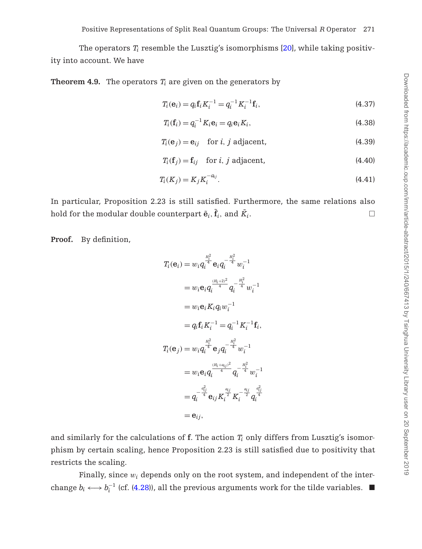The operators *Ti* resemble the Lusztig's isomorphisms [\[20](#page-46-14)], while taking positivity into account. We have

**Theorem 4.9.** The operators *Ti* are given on the generators by

$$
T_i(\mathbf{e}_i) = q_i \mathbf{f}_i K_i^{-1} = q_i^{-1} K_i^{-1} \mathbf{f}_i, \tag{4.37}
$$

$$
T_i(\mathbf{f}_i) = q_i^{-1} K_i \mathbf{e}_i = q_i \mathbf{e}_i K_i, \qquad (4.38)
$$

$$
T_i(\mathbf{e}_j) = \mathbf{e}_{ij} \quad \text{for } i, j \text{ adjacent,}
$$
\n(4.39)

$$
T_i(f_j) = f_{ij} \quad \text{for } i, j \text{ adjacent,}
$$
\n(4.40)

$$
T_i(K_j) = K_j K_i^{-a_{ij}}.
$$
\n(4.41)

In particular, Proposition 2.23 is still satisfied. Furthermore, the same relations also hold for the modular double counterpart  $\tilde{\mathbf{e}}_i$ ,  $\tilde{\mathbf{f}}_i$ , and  $\tilde{K}_i$ .  $\hfill\Box$ 

**Proof.** By definition,

$$
T_i(\mathbf{e}_i) = w_i q_i^{\frac{H_i^2}{4}} \mathbf{e}_i q_i^{-\frac{H_i^2}{4}} w_i^{-1}
$$
  
\n
$$
= w_i \mathbf{e}_i q_i^{\frac{(H_i + 2)^2}{4}} q_i^{-\frac{H_i^2}{4}} w_i^{-1}
$$
  
\n
$$
= w_i \mathbf{e}_i K_i q_i w_i^{-1}
$$
  
\n
$$
= q_i \mathbf{f}_i K_i^{-1} = q_i^{-1} K_i^{-1} \mathbf{f}_i,
$$
  
\n
$$
T_i(\mathbf{e}_j) = w_i q_i^{\frac{H_i^2}{4}} \mathbf{e}_j q_i^{-\frac{H_i^2}{4}} w_i^{-1}
$$
  
\n
$$
= w_i \mathbf{e}_i q_i^{\frac{(H_i + q_i j)^2}{4}} q_i^{-\frac{H_i^2}{4}} w_i^{-1}
$$
  
\n
$$
= q_i^{-\frac{q_i^2 j}{4}} \mathbf{e}_{ij} K_i^{-\frac{q_i j}{2}} K_i^{-\frac{q_i j}{2}} q_i^{\frac{q_i^2 j}{4}}
$$
  
\n
$$
= \mathbf{e}_{ij},
$$

and similarly for the calculations of **f**. The action *Ti* only differs from Lusztig's isomorphism by certain scaling, hence Proposition 2.23 is still satisfied due to positivity that restricts the scaling.

Finally, since  $w_i$  depends only on the root system, and independent of the interchange  $b_i \longleftrightarrow b_i^{-1}$  (cf. [\(4.28\)](#page-29-0)), all the previous arguments work for the tilde variables.  $\blacksquare$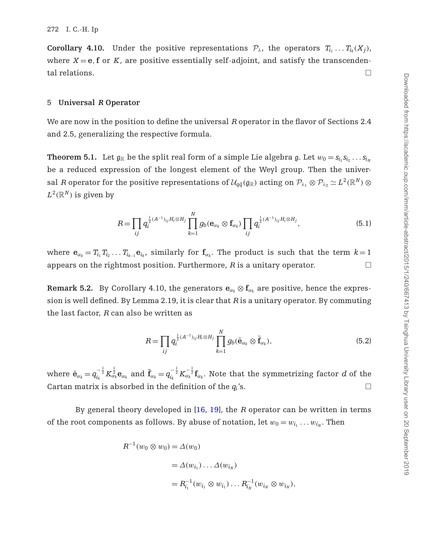**Corollary 4.10.** Under the positive representations  $P_{\lambda}$ , the operators  $T_{i_1} \ldots T_{i_k}(X_j)$ , where  $X = e$ , **f** or *K*, are positive essentially self-adjoint, and satisfy the transcendental relations.  $\Box$ 

#### 5 **Universal <sup>R</sup> Operator**

We are now in the position to define the universal *R* operator in the flavor of Sections 2.4 and 2.5, generalizing the respective formula.

**Theorem 5.1.** Let  $\mathfrak{g}_{\mathbb{R}}$  be the split real form of a simple Lie algebra g. Let  $w_0 = s_i s_i$ , ...  $s_i$ be a reduced expression of the longest element of the Weyl group. Then the universal *R* operator for the positive representations of  $\mathcal{U}_{q\bar{q}}(g_{\mathbb{R}})$  acting on  $\mathcal{P}_{\lambda_1} \otimes \mathcal{P}_{\lambda_2} \simeq L^2(\mathbb{R}^N) \otimes$  $L^2(\mathbb{R}^N)$  is given by

$$
R = \prod_{i,j} q_i^{\frac{1}{2}(A^{-1})_{ij} H_i \otimes H_j} \prod_{k=1}^N g_b(e_{\alpha_k} \otimes \mathbf{f}_{\alpha_k}) \prod_{ij} q_i^{\frac{1}{2}(A^{-1})_{ij} H_i \otimes H_j},
$$
(5.1)

where  $\mathbf{e}_{\alpha_k} = T_{i_1} T_{i_2} \dots T_{i_{k-1}} \mathbf{e}_{i_k}$ , similarly for  $\mathbf{f}_{\alpha_k}$ . The product is such that the term  $k=1$ appears on the rightmost position. Furthermore,  $R$  is a unitary operator.

**Remark 5.2.** By Corollary 4.10, the generators  $\mathbf{e}_{\alpha_k} \otimes \mathbf{f}_{\alpha_k}$  are positive, hence the expression is well defined. By Lemma 2.19, it is clear that *R* is a unitary operator. By commuting the last factor, *R* can also be written as

$$
R = \prod_{ij} q_i^{\frac{1}{2}(A^{-1})_{ij} H_i \otimes H_j} \prod_{k=1}^N g_b(\bar{\mathbf{e}}_{\alpha_k} \otimes \bar{\mathbf{f}}_{\alpha_k}),
$$
(5.2)

where  $\bar{\bf e}_{\alpha_k} \!=\! q_{i_k}^{-\frac{1}{2}}K_{\alpha_k}^{\frac{1}{2}}{\bf e}_{\alpha_k}$  and  $\bar{\bf f}_{\alpha_k} \!=\! q_{i_k}^{-\frac{1}{2}}K_{\alpha_k}^{-\frac{1}{2}}{\bf f}_{\alpha_k}.$  Note that the symmetrizing factor  $d$  of the Cartan matrix is absorbed in the definition of the  $q_i$ 's.  $\Box$ 

By general theory developed in [\[16](#page-46-1), [19\]](#page-46-2), the *R* operator can be written in terms of the root components as follows. By abuse of notation, let  $w_0 = w_{i_1} \dots w_{i_N}$ . Then

$$
R^{-1}(w_0 \otimes w_0) = \Delta(w_0)
$$
  
=  $\Delta(w_{i_1}) \dots \Delta(w_{i_N})$   
=  $R_{i_1}^{-1}(w_{i_1} \otimes w_{i_1}) \dots R_{i_N}^{-1}(w_{i_N} \otimes w_{i_N}),$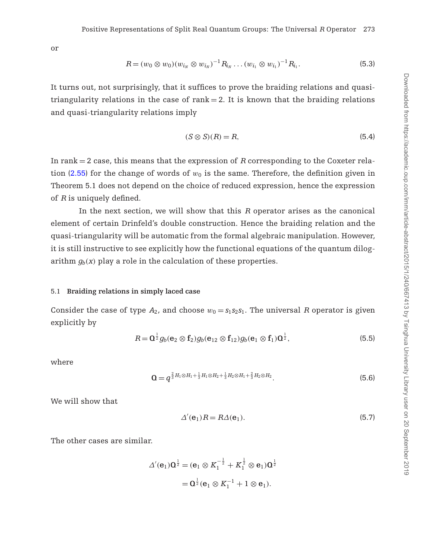or

<span id="page-33-0"></span>
$$
R = (w_0 \otimes w_0)(w_{i_N} \otimes w_{i_N})^{-1} R_{i_N} \dots (w_{i_1} \otimes w_{i_1})^{-1} R_{i_1}.
$$
 (5.3)

It turns out, not surprisingly, that it suffices to prove the braiding relations and quasitriangularity relations in the case of  $rank = 2$ . It is known that the braiding relations and quasi-triangularity relations imply

$$
(S \otimes S)(R) = R,\tag{5.4}
$$

In rank = 2 case, this means that the expression of *R* corresponding to the Coxeter rela-tion [\(2.55\)](#page-14-0) for the change of words of  $w_0$  is the same. Therefore, the definition given in Theorem 5.1 does not depend on the choice of reduced expression, hence the expression of *R* is uniquely defined.

In the next section, we will show that this *R* operator arises as the canonical element of certain Drinfeld's double construction. Hence the braiding relation and the quasi-triangularity will be automatic from the formal algebraic manipulation. However, it is still instructive to see explicitly how the functional equations of the quantum dilogarithm  $q_b(x)$  play a role in the calculation of these properties.

#### 5.1 **Braiding relations in simply laced case**

Consider the case of type  $A_2$ , and choose  $w_0 = s_1 s_2 s_1$ . The universal *R* operator is given explicitly by

$$
R = \mathbf{Q}^{\frac{1}{2}} g_b(\mathbf{e}_2 \otimes \mathbf{f}_2) g_b(\mathbf{e}_{12} \otimes \mathbf{f}_{12}) g_b(\mathbf{e}_1 \otimes \mathbf{f}_1) \mathbf{Q}^{\frac{1}{2}},
$$
\n(5.5)

where

$$
0 = q^{\frac{2}{3}H_1 \otimes H_1 + \frac{1}{3}H_1 \otimes H_2 + \frac{1}{3}H_2 \otimes H_1 + \frac{2}{3}H_2 \otimes H_2}.
$$
\n(5.6)

We will show that

$$
\Delta'(\mathbf{e}_1)R = R\Delta(\mathbf{e}_1). \tag{5.7}
$$

The other cases are similar.

$$
\Delta'(\mathbf{e}_1)\mathbf{Q}^{\frac{1}{2}} = (\mathbf{e}_1 \otimes K_1^{-\frac{1}{2}} + K_1^{\frac{1}{2}} \otimes \mathbf{e}_1)\mathbf{Q}^{\frac{1}{2}}
$$

$$
= \mathbf{Q}^{\frac{1}{2}}(\mathbf{e}_1 \otimes K_1^{-1} + 1 \otimes \mathbf{e}_1).
$$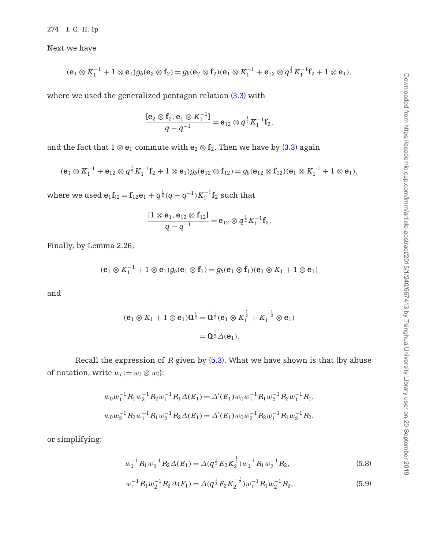Next we have

$$
(\mathbf{e}_1 \otimes K_1^{-1} + 1 \otimes \mathbf{e}_1)g_b(\mathbf{e}_2 \otimes \mathbf{f}_2) = g_b(\mathbf{e}_2 \otimes \mathbf{f}_2)(\mathbf{e}_1 \otimes K_1^{-1} + \mathbf{e}_{12} \otimes q^{\frac{1}{2}}K_1^{-1}\mathbf{f}_2 + 1 \otimes \mathbf{e}_1),
$$

where we used the generalized pentagon relation [\(3.3\)](#page-17-0) with

$$
\frac{[\mathbf{e}_2 \otimes \mathbf{f}_2, \mathbf{e}_1 \otimes K_1^{-1}]}{q - q^{-1}} = \mathbf{e}_{12} \otimes q^{\frac{1}{2}} K_1^{-1} \mathbf{f}_2,
$$

and the fact that  $1 \otimes \mathbf{e}_1$  commute with  $\mathbf{e}_2 \otimes \mathbf{f}_2$  . Then we have by [\(3.3\)](#page-17-0) again

$$
(\mathbf{e}_1 \otimes K_1^{-1} + \mathbf{e}_{12} \otimes q^{\frac{1}{2}} K_1^{-1} \mathbf{f}_2 + 1 \otimes \mathbf{e}_1) g_b(\mathbf{e}_{12} \otimes \mathbf{f}_{12}) = g_b(\mathbf{e}_{12} \otimes \mathbf{f}_{12})(\mathbf{e}_1 \otimes K_1^{-1} + 1 \otimes \mathbf{e}_1),
$$

where we used  $e_1f_{12} = f_{12}e_1 + q^{\frac{1}{2}}(q - q^{-1})K_1^{-1}f_2$  such that

$$
\frac{\left[1\otimes \mathbf{e}_1,\mathbf{e}_{12}\otimes \mathbf{f}_{12}\right]}{q-q^{-1}}=\mathbf{e}_{12}\otimes q^{\frac{1}{2}}K_1^{-1}\mathbf{f}_2.
$$

Finally, by Lemma 2.26,

$$
(\boldsymbol{e}_1 \otimes K_1^{-1} + 1 \otimes \boldsymbol{e}_1) g_b(\boldsymbol{e}_1 \otimes \boldsymbol{f}_1) = g_b(\boldsymbol{e}_1 \otimes \boldsymbol{f}_1) (\boldsymbol{e}_1 \otimes K_1 + 1 \otimes \boldsymbol{e}_1)
$$

and

$$
(\mathbf{e}_1 \otimes K_1 + 1 \otimes \mathbf{e}_1) \mathbf{Q}^{\frac{1}{2}} = \mathbf{Q}^{\frac{1}{2}} (\mathbf{e}_1 \otimes K_1^{\frac{1}{2}} + K_1^{-\frac{1}{2}} \otimes \mathbf{e}_1)
$$

$$
= \mathbf{Q}^{\frac{1}{2}} \Delta(\mathbf{e}_1).
$$

Recall the expression of *R* given by [\(5.3\)](#page-33-0). What we have shown is that (by abuse of notation, write  $w_i := w_i \otimes w_i$ :

$$
w_0 w_1^{-1} R_1 w_2^{-1} R_2 w_1^{-1} R_1 \Delta(E_1) = \Delta'(E_1) w_0 w_1^{-1} R_1 w_2^{-1} R_2 w_1^{-1} R_1,
$$
  

$$
w_0 w_2^{-1} R_2 w_1^{-1} R_1 w_2^{-1} R_2 \Delta(E_1) = \Delta'(E_1) w_0 w_2^{-1} R_2 w_1^{-1} R_1 w_2^{-1} R_2,
$$

or simplifying:

$$
w_1^{-1} R_1 w_2^{-1} R_2 \Delta(E_1) = \Delta(q^{\frac{1}{2}} E_2 K_2^{\frac{1}{2}}) w_1^{-1} R_1 w_2^{-1} R_2, \tag{5.8}
$$

$$
w_1^{-1} R_1 w_2^{-1} R_2 \Delta(F_1) = \Delta(q^{\frac{1}{2}} F_2 K_2^{-\frac{1}{2}}) w_1^{-1} R_1 w_2^{-1} R_2, \tag{5.9}
$$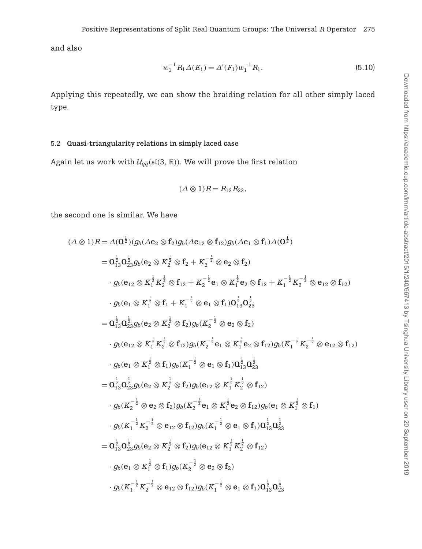and also

$$
w_1^{-1}R_1\Delta(E_1) = \Delta'(F_1)w_1^{-1}R_1.
$$
\n(5.10)

Applying this repeatedly, we can show the braiding relation for all other simply laced type.

# 5.2 **Quasi-triangularity relations in simply laced case**

Again let us work with  $\mathcal{U}_{q\bar{q}}(\mathfrak{sl}(3,\mathbb{R}))$ . We will prove the first relation

$$
(\Delta \otimes 1)R = R_{13}R_{23},
$$

the second one is similar. We have

$$
(\Delta \otimes 1)R = \Delta(\mathbf{Q}^{\frac{1}{2}})(g_b(\Delta \mathbf{e}_2 \otimes \mathbf{f}_2)g_b(\Delta \mathbf{e}_{12} \otimes \mathbf{f}_{12})g_b(\Delta \mathbf{e}_1 \otimes \mathbf{f}_1)\Delta(\mathbf{Q}^{\frac{1}{2}})
$$
  
\n
$$
= \mathbf{Q}_{13}^{\frac{1}{2}}\mathbf{Q}_{23}^{\frac{1}{2}}g_b(\mathbf{e}_2 \otimes K_2^{\frac{1}{2}} \otimes \mathbf{f}_2 + K_2^{-\frac{1}{2}} \otimes \mathbf{e}_2 \otimes \mathbf{f}_2)
$$
  
\n
$$
\cdot g_b(\mathbf{e}_{12} \otimes K_1^{\frac{1}{2}} K_2^{\frac{1}{2}} \otimes \mathbf{f}_{12} + K_2^{-\frac{1}{2}} \mathbf{e}_1 \otimes K_1^{\frac{1}{2}} \mathbf{e}_2 \otimes \mathbf{f}_{12} + K_1^{-\frac{1}{2}} K_2^{-\frac{1}{2}} \otimes \mathbf{e}_{12} \otimes \mathbf{f}_{12})
$$
  
\n
$$
\cdot g_b(\mathbf{e}_1 \otimes K_1^{\frac{1}{2}} \otimes \mathbf{f}_1 + K_1^{-\frac{1}{2}} \otimes \mathbf{e}_1 \otimes \mathbf{f}_1) \mathbf{Q}_{13}^{\frac{1}{2}} \mathbf{Q}_{23}^{\frac{1}{2}}
$$
  
\n
$$
= \mathbf{Q}_{13}^{\frac{1}{2}}\mathbf{Q}_{23}^{\frac{1}{2}}g_b(\mathbf{e}_2 \otimes K_2^{\frac{1}{2}} \otimes \mathbf{f}_2)g_b(K_2^{-\frac{1}{2}} \mathbf{e}_1 \otimes K_1^{\frac{1}{2}} \mathbf{e}_2 \otimes \mathbf{f}_{12})g_b(K_1^{-\frac{1}{2}} K_2^{-\frac{1}{2}} \otimes \mathbf{e}_{12} \otimes \mathbf{f}_{12})
$$
  
\n
$$
\cdot g_b(\mathbf{e}_{12} \otimes K_1^{\frac{1}{2}} \otimes \mathbf{f}_1)g_b(K_1^{-\frac{1}{2}} \otimes \mathbf{e}_1 \otimes \mathbf{f}_1
$$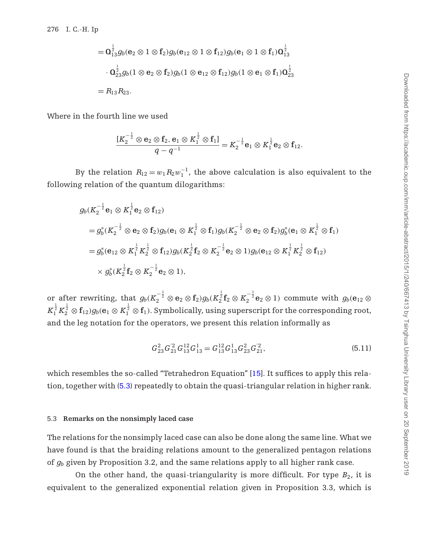$$
= \mathbf{Q}_{13}^{\frac{1}{2}}g_b(\mathbf{e}_2 \otimes 1 \otimes \mathbf{f}_2)g_b(\mathbf{e}_{12} \otimes 1 \otimes \mathbf{f}_{12})g_b(\mathbf{e}_1 \otimes 1 \otimes \mathbf{f}_1)\mathbf{Q}_{13}^{\frac{1}{2}}\cdot \mathbf{Q}_{23}^{\frac{1}{2}}g_b(1 \otimes \mathbf{e}_2 \otimes \mathbf{f}_2)g_b(1 \otimes \mathbf{e}_{12} \otimes \mathbf{f}_{12})g_b(1 \otimes \mathbf{e}_1 \otimes \mathbf{f}_1)\mathbf{Q}_{23}^{\frac{1}{2}}= R_{13}R_{23}.
$$

Where in the fourth line we used

$$
\frac{[K_2^{-\frac{1}{2}} \otimes e_2 \otimes f_2, e_1 \otimes K_1^{\frac{1}{2}} \otimes f_1]}{q - q^{-1}} = K_2^{-\frac{1}{2}} e_1 \otimes K_1^{\frac{1}{2}} e_2 \otimes f_1_2.
$$

By the relation  $R_{12} = w_1 R_2 w_1^{-1}$ , the above calculation is also equivalent to the following relation of the quantum dilogarithms:

$$
g_b(K_2^{-\frac{1}{2}}e_1 \otimes K_1^{\frac{1}{2}}e_2 \otimes f_{12})
$$
  
=  $g_b^*(K_2^{-\frac{1}{2}} \otimes e_2 \otimes f_2)g_b(e_1 \otimes K_1^{\frac{1}{2}} \otimes f_1)g_b(K_2^{-\frac{1}{2}} \otimes e_2 \otimes f_2)g_b^*(e_1 \otimes K_1^{\frac{1}{2}} \otimes f_1)$   
=  $g_b^*(e_{12} \otimes K_1^{\frac{1}{2}}K_2^{\frac{1}{2}} \otimes f_{12})g_b(K_2^{\frac{1}{2}}f_2 \otimes K_2^{-\frac{1}{2}}e_2 \otimes 1)g_b(e_{12} \otimes K_1^{\frac{1}{2}}K_2^{\frac{1}{2}} \otimes f_{12})$   
 $\times g_b^*(K_2^{\frac{1}{2}}f_2 \otimes K_2^{-\frac{1}{2}}e_2 \otimes 1),$ 

or after rewriting, that  $g_b(K_2^{-\frac{1}{2}}\otimes\mathbf{e}_2\otimes\mathbf{f}_2)g_b(K_2^{\frac{1}{2}}\mathbf{f}_2\otimes K_2^{-\frac{1}{2}}\mathbf{e}_2\otimes1)$  commute with  $g_b(\mathbf{e}_{12}\otimes$  $K_1^{\frac{1}{2}} K_2^{\frac{1}{2}} \otimes \mathbf{f}_{12}) g_b(\mathbf{e}_1 \otimes K_1^{\frac{1}{2}} \otimes \mathbf{f}_1).$  Symbolically, using superscript for the corresponding root, and the leg notation for the operators, we present this relation informally as

$$
G_{23}^2 G_{21}^{'2} G_{13}^{12} G_{13}^1 = G_{13}^{12} G_{13}^1 G_{23}^2 G_{21}^{'2}, \tag{5.11}
$$

which resembles the so-called "Tetrahedron Equation" [\[15](#page-46-17)]. It suffices to apply this relation, together with [\(5.3\)](#page-33-0) repeatedly to obtain the quasi-triangular relation in higher rank.

#### 5.3 **Remarks on the nonsimply laced case**

The relations for the nonsimply laced case can also be done along the same line. What we have found is that the braiding relations amount to the generalized pentagon relations of  $q_b$  given by Proposition 3.2, and the same relations apply to all higher rank case.

On the other hand, the quasi-triangularity is more difficult. For type  $B_2$ , it is equivalent to the generalized exponential relation given in Proposition 3.3, which is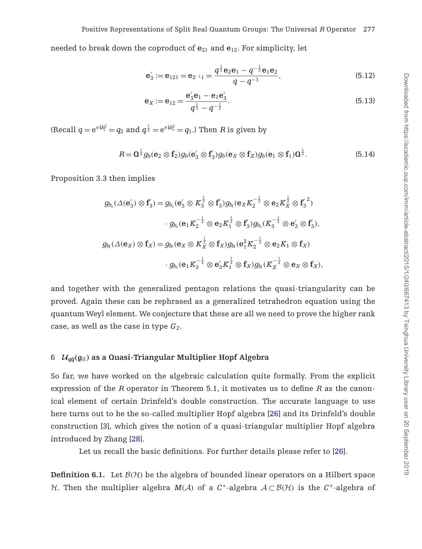needed to break down the coproduct of **e**<sup>21</sup> and **e**12. For simplicity, let

$$
\mathbf{e}'_3 := \mathbf{e}_{121} = \mathbf{e}_{2^{-1}1} = \frac{q^{\frac{1}{2}} \mathbf{e}_2 \mathbf{e}_1 - q^{-\frac{1}{2}} \mathbf{e}_1 \mathbf{e}_2}{q - q^{-1}},
$$
(5.12)

$$
\mathbf{e}_X := \mathbf{e}_{12} = \frac{\mathbf{e}'_3 \mathbf{e}_1 - \mathbf{e}_1 \mathbf{e}'_3}{q^{\frac{1}{2}} - q^{-\frac{1}{2}}}.
$$
 (5.13)

(Recall  $q = e^{\pi i b_i^2} = q_2$  and  $q^{\frac{1}{2}} = e^{\pi i b_s^2} = q_1$ .) Then *R* is given by

$$
R = \mathbf{Q}^{\frac{1}{2}} g_b(\mathbf{e}_2 \otimes \mathbf{f}_2) g_b(\mathbf{e}'_3 \otimes \mathbf{f}'_3) g_b(\mathbf{e}_X \otimes \mathbf{f}_X) g_b(\mathbf{e}_1 \otimes \mathbf{f}_1) \mathbf{Q}^{\frac{1}{2}}.
$$
 (5.14)

Proposition 3.3 then implies

$$
g_{b_s}(\Delta(\mathbf{e}'_3) \otimes \mathbf{f}'_3) = g_{b_s}(\mathbf{e}'_3 \otimes K_3^{\frac{1}{2}} \otimes \mathbf{f}'_3) g_{b_l}(\mathbf{e}_X K_2^{-\frac{1}{2}} \otimes \mathbf{e}_2 K_X^{\frac{1}{2}} \otimes \mathbf{f}'_3^2)
$$

$$
\cdot g_{b_s}(\mathbf{e}_1 K_2^{-\frac{1}{2}} \otimes \mathbf{e}_2 K_1^{\frac{1}{2}} \otimes \mathbf{f}'_3) g_{b_s} (K_3^{-\frac{1}{2}} \otimes \mathbf{e}'_3 \otimes \mathbf{f}'_3),
$$

$$
g_{b_l}(\Delta(\mathbf{e}_X) \otimes \mathbf{f}_X) = g_{b_l}(\mathbf{e}_X \otimes K_X^{\frac{1}{2}} \otimes \mathbf{f}_X) g_{b_l}(\mathbf{e}_1^2 K_2^{-\frac{1}{2}} \otimes \mathbf{e}_2 K_1 \otimes \mathbf{f}_X)
$$

$$
\cdot g_{b_s}(\mathbf{e}_1 K_3^{-\frac{1}{2}} \otimes \mathbf{e}'_3 K_1^{\frac{1}{2}} \otimes \mathbf{f}_X) g_{b_l} (K_X^{-\frac{1}{2}} \otimes \mathbf{e}_X \otimes \mathbf{f}_X),
$$

and together with the generalized pentagon relations the quasi-triangularity can be proved. Again these can be rephrased as a generalized tetrahedron equation using the quantum Weyl element. We conjecture that these are all we need to prove the higher rank case, as well as the case in type  $G_2$ .

# <sup>6</sup> *<sup>U</sup>***qq**˜*(***g**<sup>R</sup>*)* **as a Quasi-Triangular Multiplier Hopf Algebra**

So far, we have worked on the algebraic calculation quite formally. From the explicit expression of the *R* operator in Theorem 5.1, it motivates us to define *R* as the canonical element of certain Drinfeld's double construction. The accurate language to use here turns out to be the so-called multiplier Hopf algebra [\[26\]](#page-47-0) and its Drinfeld's double construction [\[3](#page-45-3)], which gives the notion of a quasi-triangular multiplier Hopf algebra introduced by Zhang [\[28](#page-47-2)].

Let us recall the basic definitions. For further details please refer to [\[26](#page-47-0)].

**Definition 6.1.** Let  $B(H)$  be the algebra of bounded linear operators on a Hilbert space *H*. Then the multiplier algebra *M*(*A*) of a *C*<sup>\*</sup>-algebra  $A \subset B(H)$  is the *C*<sup>\*</sup>-algebra of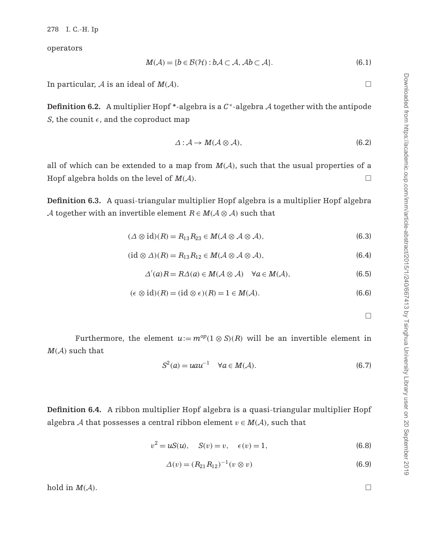operators

$$
M(\mathcal{A}) = \{b \in \mathcal{B}(\mathcal{H}) : b\mathcal{A} \subset \mathcal{A}, \mathcal{A}b \subset \mathcal{A}\}.
$$
 (6.1)

In particular, *A* is an ideal of  $M(A)$ .

**Definition 6.2.** A multiplier Hopf \*-algebra is a *<sup>C</sup>*<sup>∗</sup>-algebra *<sup>A</sup>* together with the antipode *S*, the counit  $\epsilon$ , and the coproduct map

$$
\Delta: \mathcal{A} \to M(\mathcal{A} \otimes \mathcal{A}), \tag{6.2}
$$

all of which can be extended to a map from  $M(A)$ , such that the usual properties of a Hopf algebra holds on the level of  $M(\mathcal{A})$ .

**Definition 6.3.** A quasi-triangular multiplier Hopf algebra is a multiplier Hopf algebra *A* together with an invertible element  $R \in M(\mathcal{A} \otimes \mathcal{A})$  such that

$$
(\Delta \otimes id)(R) = R_{13}R_{23} \in M(\mathcal{A} \otimes \mathcal{A} \otimes \mathcal{A}), \tag{6.3}
$$

$$
(\mathrm{id} \otimes \Delta)(R) = R_{13}R_{12} \in M(\mathcal{A} \otimes \mathcal{A} \otimes \mathcal{A}),\tag{6.4}
$$

$$
\Delta'(a)R = R\Delta(a) \in M(\mathcal{A} \otimes \mathcal{A}) \quad \forall a \in M(\mathcal{A}), \tag{6.5}
$$

$$
(\epsilon \otimes id)(R) = (id \otimes \epsilon)(R) = 1 \in M(\mathcal{A}).
$$
\n(6.6)

 $\Box$ 

Furthermore, the element  $u := m^{op}(1 \otimes S)(R)$  will be an invertible element in  $M(A)$  such that

$$
S^2(a) = uau^{-1} \quad \forall a \in M(\mathcal{A}). \tag{6.7}
$$

**Definition 6.4.** A ribbon multiplier Hopf algebra is a quasi-triangular multiplier Hopf algebra *A* that possesses a central ribbon element  $v \in M(A)$ , such that

$$
v^2 = uS(u), \quad S(v) = v, \quad \epsilon(v) = 1,
$$
\n(6.8)

$$
\Delta(v) = (R_{21}R_{12})^{-1}(v \otimes v)
$$
\n(6.9)

hold in  $M(A)$ .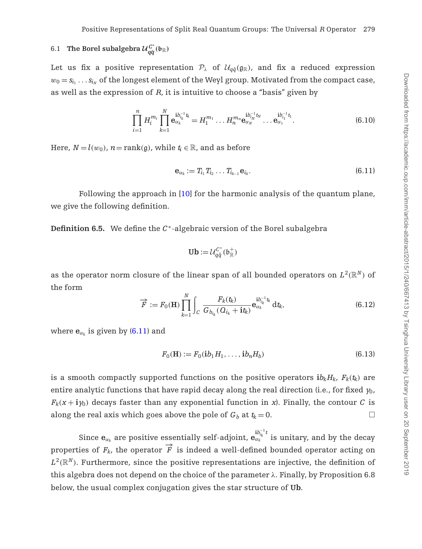# $6.1$  The Borel subalgebra  $\mathcal{U}_{q\tilde{q}}^{C^*}(\mathfrak{b}_\mathbb{R})$

Let us fix a positive representation  $P_\lambda$  of  $\mathcal{U}_{q\bar{q}}(g_\mathbb{R})$ , and fix a reduced expression  $w_0 = s_{i_1} \ldots s_{i_N}$  of the longest element of the Weyl group. Motivated from the compact case, as well as the expression of *R*, it is intuitive to choose a "basis" given by

$$
\prod_{i=1}^{n} H_i^{m_i} \prod_{k=1}^{N} \mathbf{e}_{\alpha_k}^{ib_{i_k}^{-1}t_k} = H_1^{m_1} \dots H_n^{m_n} \mathbf{e}_{\alpha_N}^{ib_{i_N}^{-1}t_N} \dots \mathbf{e}_{\alpha_1}^{ib_{i_1}^{-1}t_1}.
$$
 (6.10)

Here,  $N = l(w_0)$ ,  $n = \text{rank}(\mathfrak{g})$ , while  $t_i \in \mathbb{R}$ , and as before

<span id="page-39-0"></span>
$$
\mathbf{e}_{\alpha_k} := T_{i_1} T_{i_2} \dots T_{i_{k-1}} \mathbf{e}_{i_k}.
$$
\n(6.11)

Following the approach in [\[10](#page-46-9)] for the harmonic analysis of the quantum plane, we give the following definition.

**Definition 6.5.** We define the *C*<sup>∗</sup>-algebraic version of the Borel subalgebra

$$
\mathbf{Ub} := \mathcal{U}_{q\tilde{q}}^{C^*}(\mathfrak{b}_{\mathbb{R}}^+)
$$

as the operator norm closure of the linear span of all bounded operators on  $L^2(\mathbb{R}^N)$  of the form

$$
\overrightarrow{F} := F_0(\mathbf{H}) \prod_{k=1}^N \int_C \frac{F_k(t_k)}{G_{b_{i_k}}(Q_{i_k} + \mathbf{i}t_k)} \mathbf{e}_{\alpha_k}^{\mathbf{i}b_{i_k}^{-1}t_k} dt_k, \tag{6.12}
$$

where  $\mathbf{e}_{\alpha_k}$  is given by [\(6.11\)](#page-39-0) and

$$
F_0(\mathbf{H}) := F_0(\mathbf{i}b_1 H_1, \dots, \mathbf{i}b_n H_b) \tag{6.13}
$$

is a smooth compactly supported functions on the positive operators  $i\mathbf{b}_k H_k$ ,  $F_k(\mathbf{t}_k)$  are entire analytic functions that have rapid decay along the real direction (i.e., for fixed *y*0,  $F_k(x+{\bf i}y_0)$  decays faster than any exponential function in *x*). Finally, the contour *C* is along the real axis which goes above the pole of  $G_b$  at  $t_k = 0$ .

Since  $\mathbf{e}_{\alpha_k}$  are positive essentially self-adjoint,  $\mathbf{e}_{\alpha_k}^{ib_k^{-1}t}$  is unitary, and by the decay properties of  $F_k$ , the operator  $\overrightarrow{F}$  is indeed a well-defined bounded operator acting on  $L^2(\mathbb{R}^N)$ . Furthermore, since the positive representations are injective, the definition of this algebra does not depend on the choice of the parameter  $\lambda$ . Finally, by Proposition 6.8 below, the usual complex conjugation gives the star structure of **Ub**.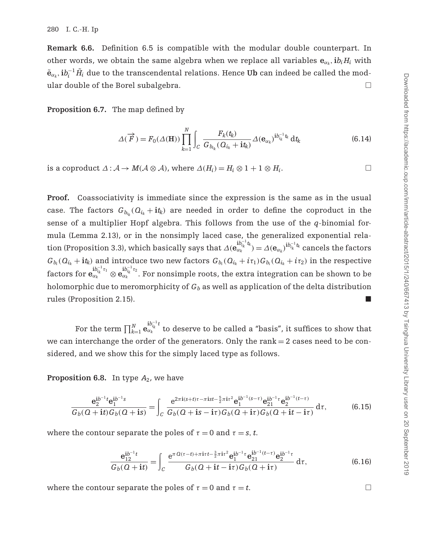**Remark 6.6.** Definition 6.5 is compatible with the modular double counterpart. In other words, we obtain the same algebra when we replace all variables  $\mathbf{e}_{\alpha_k}$ ,  $\mathbf{i}_{b_i}H_i$  with  $\tilde{\mathbf{e}}_{\alpha_k}, \mathbf{i}b_i^{-1}\tilde{H}_i$  due to the transcendental relations. Hence  $\mathbf{U}\mathbf{b}$  can indeed be called the modular double of the Borel subalgebra.  $\Box$ 

**Proposition 6.7.** The map defined by

$$
\Delta(\overrightarrow{F}) = F_0(\Delta(\mathbf{H})) \prod_{k=1}^N \int_C \frac{F_k(t_k)}{G_{b_{i_k}}(Q_{i_k} + \mathbf{i}t_k)} \Delta(\mathbf{e}_{\alpha_k})^{\mathbf{i}b_{i_k}^{-1}t_k} dt_k \tag{6.14}
$$

is a coproduct  $\Delta : \mathcal{A} \to M(\mathcal{A} \otimes \mathcal{A})$ , where  $\Delta(H_i) = H_i \otimes 1 + 1 \otimes H_i$ .

**Proof.** Coassociativity is immediate since the expression is the same as in the usual case. The factors  $G_{b_{i_k}}(O_{i_k}+{\bf i} t_k)$  are needed in order to define the coproduct in the sense of a multiplier Hopf algebra. This follows from the use of the *q*-binomial formula (Lemma 2.13), or in the nonsimply laced case, the generalized exponential rela- $\text{A}(\mathbf{e}_{\alpha_k})^{i b_{i_k}^{-1} t_k} = \mathbf{A}(\mathbf{e}_{\alpha_k})^{i b_{i_k}^{-1} t_k}$  cancels the factors  $G_{b_i}(Q_{i_k} + i t_k)$  and introduce two new factors  $G_{b_i}(Q_{i_k} + i \tau_1) G_{b_i}(Q_{i_k} + i \tau_2)$  in the respective  $\text{factors for } \mathbf{e}_{\alpha_k}^{\mathbf{i} b_{\alpha_k}^{-1}\tau_1}\otimes \mathbf{e}_{\alpha_k}^{\mathbf{i} b_{\alpha_k}^{-1}\tau_2}.$  For nonsimple roots, the extra integration can be shown to be holomorphic due to meromorphicity of  $G_b$  as well as application of the delta distribution rules (Proposition 2.15).

For the term  $\prod_{k=1}^N \mathbf{e}_{\alpha_k}^{ib_{i_k}^{-1}t}$  to deserve to be called a "basis", it suffices to show that we can interchange the order of the generators. Only the  $rank = 2$  cases need to be considered, and we show this for the simply laced type as follows.

**Proposition 6.8.** In type  $A_2$ , we have

<span id="page-40-0"></span>
$$
\frac{\mathbf{e}_{2}^{\mathbf{i}b^{-1}t}\mathbf{e}_{1}^{\mathbf{i}b^{-1}s}}{G_{b}(Q+\mathbf{i}t)G_{b}(Q+\mathbf{i}s)} = \int_{\mathcal{C}} \frac{\mathbf{e}^{2\pi\mathbf{i}(s+t)\tau-\pi\mathbf{i}s}t-\frac{5}{2}\pi\mathbf{i}t^{2}}{\mathbf{e}_{1}^{\mathbf{i}b^{-1}(s-\tau)}\mathbf{e}_{21}^{\mathbf{i}b^{-1}\tau}\mathbf{e}_{2}^{\mathbf{i}b^{-1}(t-\tau)}} d\tau, \qquad (6.15)
$$

where the contour separate the poles of  $\tau = 0$  and  $\tau = s$ , *t*.

<span id="page-40-1"></span>
$$
\frac{\mathbf{e}_{12}^{\mathbf{i}b^{-1}t}}{G_b(0+\mathbf{i}t)} = \int_C \frac{e^{\pi \Omega(\tau-t) + \pi \mathbf{i} \tau t - \frac{3}{2}\pi \mathbf{i} \tau^2} \mathbf{e}_1^{\mathbf{i}b^{-1}\tau} \mathbf{e}_{21}^{\mathbf{i}b^{-1}(t-\tau)} \mathbf{e}_2^{\mathbf{i}b^{-1}\tau}}{G_b(0+\mathbf{i}t - \mathbf{i}\tau) G_b(0+\mathbf{i}\tau)} d\tau,
$$
(6.16)

where the contour separate the poles of  $\tau = 0$  and  $\tau = t$ .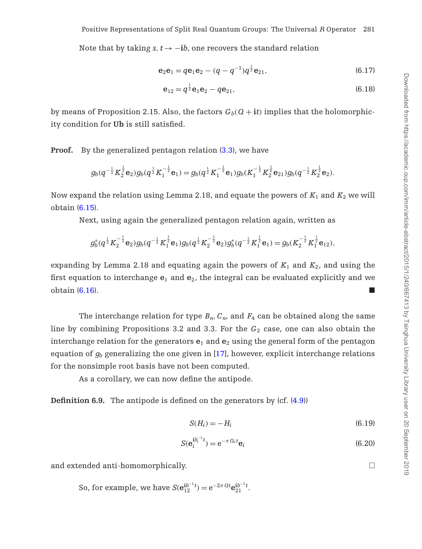Note that by taking  $s, t \rightarrow -ib$ , one recovers the standard relation

$$
\mathbf{e}_2 \mathbf{e}_1 = q \mathbf{e}_1 \mathbf{e}_2 - (q - q^{-1}) q^{\frac{1}{2}} \mathbf{e}_{21},\tag{6.17}
$$

$$
\mathbf{e}_{12} = q^{\frac{1}{2}} \mathbf{e}_1 \mathbf{e}_2 - q \mathbf{e}_{21}, \tag{6.18}
$$

by means of Proposition 2.15. Also, the factors  $G_b(Q + it)$  implies that the holomorphicity condition for **Ub** is still satisfied.

**Proof.** By the generalized pentagon relation [\(3.3\)](#page-17-0), we have

$$
g_b(q^{-\frac{1}{2}}K_2^{\frac{1}{2}}e_2)g_b(q^{\frac{1}{2}}K_1^{-\frac{1}{2}}e_1)=g_b(q^{\frac{1}{2}}K_1^{-\frac{1}{2}}e_1)g_b(K_1^{-\frac{1}{2}}K_2^{\frac{1}{2}}e_2)g_b(q^{-\frac{1}{2}}K_2^{\frac{1}{2}}e_2).
$$

Now expand the relation using Lemma 2.18, and equate the powers of  $K_1$  and  $K_2$  we will obtain [\(6.15\)](#page-40-0).

Next, using again the generalized pentagon relation again, written as

$$
g_b^*(q^{\frac{1}{2}}K_2^{-\frac{1}{2}}e_2)g_b(q^{-\frac{1}{2}}K_1^{\frac{1}{2}}e_1)g_b(q^{\frac{1}{2}}K_2^{-\frac{1}{2}}e_2)g_b^*(q^{-\frac{1}{2}}K_1^{\frac{1}{2}}e_1)=g_b(K_2^{-\frac{1}{2}}K_1^{\frac{1}{2}}e_{12}),
$$

expanding by Lemma 2.18 and equating again the powers of  $K_1$  and  $K_2$ , and using the first equation to interchange  $e_1$  and  $e_2$ , the integral can be evaluated explicitly and we  $\alpha$  obtain [\(6.16\)](#page-40-1).

The interchange relation for type  $B_n$ ,  $C_n$ , and  $F_4$  can be obtained along the same line by combining Propositions 3.2 and 3.3. For the  $G_2$  case, one can also obtain the interchange relation for the generators  $e_1$  and  $e_2$  using the general form of the pentagon equation of *gb* generalizing the one given in [\[17](#page-46-16)], however, explicit interchange relations for the nonsimple root basis have not been computed.

As a corollary, we can now define the antipode.

**Definition 6.9.** The antipode is defined on the generators by (cf. [\(4.9\)](#page-22-2))

$$
S(H_i) = -H_i \tag{6.19}
$$

$$
S(e_i^{ib_i^{-1}t}) = e^{-\pi Q_i t} e_i
$$
\n(6.20)

and extended anti-homomorphically.

So, for example, we have  $S(e_{12}^{ib^{-1}t}) = e^{-2\pi \Omega t} e_{21}^{ib^{-1}t}$ .

 $\Box$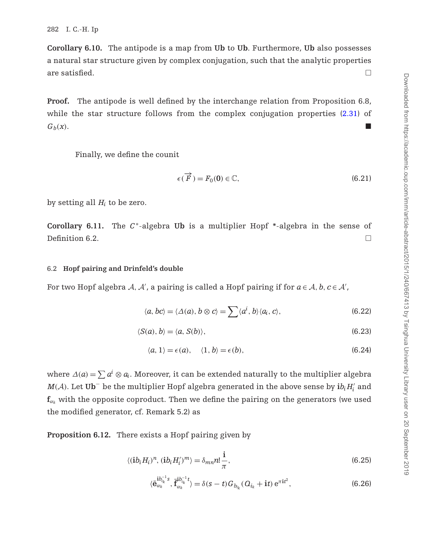**Corollary 6.10.** The antipode is a map from **Ub** to **Ub**. Furthermore, **Ub** also possesses a natural star structure given by complex conjugation, such that the analytic properties are satisfied.  $\square$ 

**Proof.** The antipode is well defined by the interchange relation from Proposition 6.8, while the star structure follows from the complex conjugation properties [\(2.31\)](#page-11-2) of  $G_b(x)$ .

Finally, we define the counit

$$
\epsilon(\overrightarrow{F}) = F_0(\mathbf{0}) \in \mathbb{C},\tag{6.21}
$$

by setting all *Hi* to be zero.

**Corollary 6.11.** The *C*<sup>∗</sup>-algebra **Ub** is a multiplier Hopf \*-algebra in the sense of Definition 6.2.  $\Box$ 

# 6.2 **Hopf pairing and Drinfeld's double**

For two Hopf algebra *A*, *A'*, a pairing is called a Hopf pairing if for  $a \in A$ , *b*,  $c \in A'$ ,

$$
\langle a, bc \rangle = \langle \Delta(a), b \otimes c \rangle = \sum \langle a^i, b \rangle \langle a_i, c \rangle, \tag{6.22}
$$

$$
\langle S(a), b \rangle = \langle a, S(b) \rangle, \tag{6.23}
$$

$$
\langle a, 1 \rangle = \epsilon(a), \quad \langle 1, b \rangle = \epsilon(b), \tag{6.24}
$$

where  $\Delta(a) = \sum a^i \otimes a_i$ . Moreover, it can be extended naturally to the multiplier algebra *M*(*A*). Let  $\textbf{Ub}^-$  be the multiplier Hopf algebra generated in the above sense by  $\textbf{i}b_iH_i'$  and  $f_{\alpha k}$  with the opposite coproduct. Then we define the pairing on the generators (we used the modified generator, cf. Remark 5.2) as

**Proposition 6.12.** There exists a Hopf pairing given by

$$
\langle (\mathbf{i}b_i H_i)^n, (\mathbf{i}b_i H_i')^m \rangle = \delta_{mn} n! \frac{\mathbf{i}}{\pi},\tag{6.25}
$$

$$
\langle \bar{\mathbf{e}}_{\alpha_k}^{ib_{i_k}^{-1}s}, \bar{\mathbf{f}}_{\alpha_k}^{ib_{i_k}^{-1}t} \rangle = \delta(s-t) G_{b_{i_k}}(Q_{i_k} + \mathbf{i}t) e^{\pi \mathbf{i}t^2}, \tag{6.26}
$$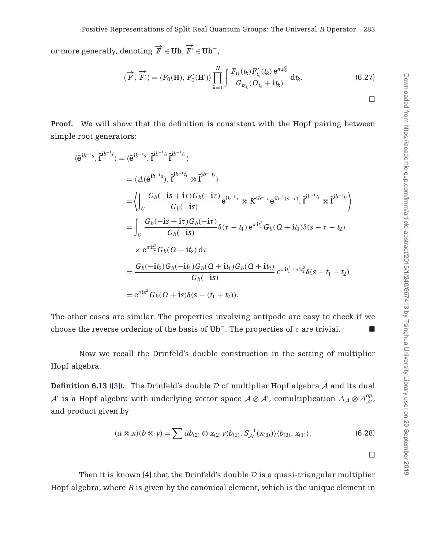or more generally, denoting  $\overrightarrow{F} \in \mathbf{Ub}, \overrightarrow{F'} \in \mathbf{Ub}^-,$ 

$$
\langle \overrightarrow{F}, \overrightarrow{F'} \rangle = \langle F_0(\mathbf{H}), F'_0(\mathbf{H'}) \rangle \prod_{k=1}^N \int \frac{F_{i_k}(t_k) F'_{i_k}(t_k) e^{\pi i t_k^2}}{G_{b_{i_k}}(Q_{i_k} + i t_k)} dt_k.
$$
 (6.27)

**Proof.** We will show that the definition is consistent with the Hopf pairing between simple root generators:

$$
\langle \bar{e}^{ib^{-1}s}, \bar{f}^{ib^{-1}t} \rangle = \langle \bar{e}^{ib^{-1}s}, \bar{f}^{ib^{-1}t_1} \bar{f}^{ib^{-1}t_2} \rangle
$$
  
\n
$$
= \langle \Delta(\bar{e}^{ib^{-1}s}), \bar{f}^{ib^{-1}t_1} \otimes \bar{f}^{ib^{-1}t_2} \rangle
$$
  
\n
$$
= \left\langle \int_C \frac{G_b(-is + i\tau)G_b(-i\tau)}{G_b(-is)} \bar{e}^{ib^{-1}\tau} \otimes K^{ib^{-1}\tau} \bar{e}^{ib^{-1}(s-\tau)}, \bar{f}^{ib^{-1}t_1} \otimes \bar{f}^{ib^{-1}t_2} \right\rangle
$$
  
\n
$$
= \int_C \frac{G_b(-is + i\tau)G_b(-i\tau)}{G_b(-is)} \delta(\tau - t_1) e^{\pi i t_1^2} G_b(0 + i t_1) \delta(s - \tau - t_2)
$$
  
\n
$$
\times e^{\pi i t_2^2} G_b(0 + i t_2) d\tau
$$
  
\n
$$
= \frac{G_b(-i t_2)G_b(-i t_1)G_b(0 + i t_1)G_b(0 + i t_2)}{G_b(-is)} e^{\pi i t_1^2 + \pi i t_2^2} \delta(s - t_1 - t_2)
$$
  
\n
$$
= e^{\pi i s^2} G_b(0 + i s) \delta(s - (t_1 + t_2)).
$$

The other cases are similar. The properties involving antipode are easy to check if we choose the reverse ordering of the basis of  $\text{Ub}^-$ . The properties of  $\epsilon$  are trivial.  $\blacksquare$ 

Now we recall the Drinfeld's double construction in the setting of multiplier Hopf algebra.

**Definition 6.13** ([\[3](#page-45-3)])**.** The Drinfeld's double *D* of multiplier Hopf algebra *A* and its dual *A*' is a Hopf algebra with underlying vector space  $A \otimes A'$ , comultiplication  $\Delta_A \otimes \Delta_{A'}^{op}$ and product given by

$$
(a \otimes x)(b \otimes y) = \sum ab_{(2)} \otimes x_{(2)} y \langle b_{(1)}, S_{\mathcal{A}'}^{-1}(x_{(3)}) \rangle \langle b_{(3)}, x_{(1)} \rangle.
$$
 (6.28)

 $\Box$ 

Then it is known [\[4\]](#page-45-4) that the Drinfeld's double  $D$  is a quasi-triangular multiplier Hopf algebra, where *R* is given by the canonical element, which is the unique element in

 $\sqcup$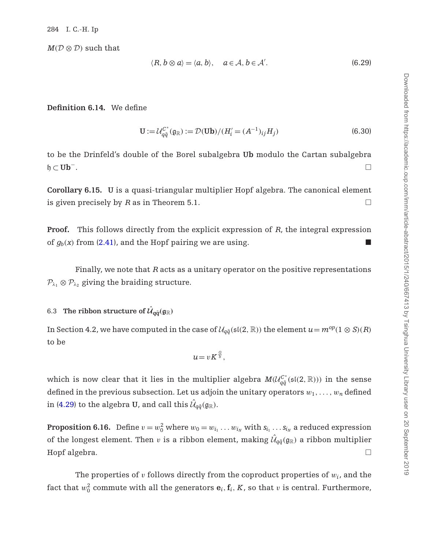$M(D \otimes D)$  such that

$$
\langle R, b \otimes a \rangle = \langle a, b \rangle, \quad a \in \mathcal{A}, b \in \mathcal{A}'.
$$
 (6.29)

**Definition 6.14.** We define

$$
\mathbf{U} := \mathcal{U}_{q\bar{q}}^{C^*}(\mathfrak{g}_{\mathbb{R}}) := \mathcal{D}(\mathbf{U}\mathbf{b})/(H'_i = (A^{-1})_{ij}H_j)
$$
(6.30)

to be the Drinfeld's double of the Borel subalgebra **Ub** modulo the Cartan subalgebra  $h \subset \mathbf{U} \mathbf{b}^-$ .

**Corollary 6.15. U** is a quasi-triangular multiplier Hopf algebra. The canonical element is given precisely by *R* as in Theorem 5.1.  $\Box$ 

**Proof.** This follows directly from the explicit expression of *R*, the integral expression of  $g_h(x)$  from [\(2.41\)](#page-13-6), and the Hopf pairing we are using.

Finally, we note that *R* acts as a unitary operator on the positive representations  $P_{\lambda_1} \otimes P_{\lambda_2}$  giving the braiding structure.

# 6.3 The ribbon structure of  $\hat{\mathcal{U}}_{q\tilde{q}}(g_{\mathbb{R}})$

In Section 4.2, we have computed in the case of  $\mathcal{U}_{q\bar{q}}(\mathfrak{sl}(2,\mathbb{R}))$  the element  $u=m^{op}(1\otimes S)(R)$ to be

$$
u=vK^{\frac{a}{b}},
$$

which is now clear that it lies in the multiplier algebra  $M(U_{q\tilde{q}}^{C^*}(\mathfrak{sl}(2,\mathbb{R})))$  in the sense defined in the previous subsection. Let us adjoin the unitary operators  $w_1, \ldots, w_n$  defined in [\(4.29\)](#page-29-1) to the algebra **U**, and call this  $\hat{\mathcal{U}}_{q\tilde{q}}(g_{\mathbb{R}})$ .

**Proposition 6.16.** Define  $v = w_0^2$  where  $w_0 = w_{i_1} \dots w_{i_N}$  with  $s_{i_1} \dots s_{i_N}$  a reduced expression of the longest element. Then *v* is a ribbon element, making  $\hat{\mathcal{U}}_{q\bar{q}}(g_{\mathbb{R}})$  a ribbon multiplier Hopf algebra.  $\Box$ 

The properties of v follows directly from the coproduct properties of  $w_i$ , and the fact that  $w_0^2$  commute with all the generators  $\mathbf{e}_i, \mathbf{f}_i, K$ , so that  $v$  is central. Furthermore,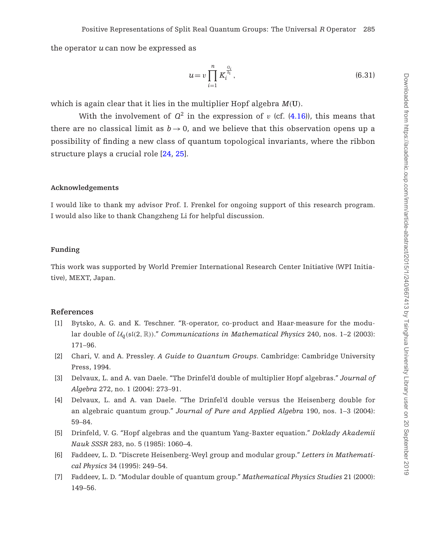the operator *u*can now be expressed as

$$
u = v \prod_{i=1}^{n} K_i^{\frac{\alpha_i}{b_i}}, \tag{6.31}
$$

which is again clear that it lies in the multiplier Hopf algebra *M*(**U**).

With the involvement of  $Q^2$  in the expression of v (cf.  $(4.16)$ ), this means that there are no classical limit as  $b \rightarrow 0$ , and we believe that this observation opens up a possibility of finding a new class of quantum topological invariants, where the ribbon structure plays a crucial role [\[24](#page-46-10), [25](#page-46-11)].

## **Acknowledgements**

I would like to thank my advisor Prof. I. Frenkel for ongoing support of this research program. I would also like to thank Changzheng Li for helpful discussion.

# **Funding**

This work was supported by World Premier International Research Center Initiative (WPI Initiative), MEXT, Japan.

# **References**

- <span id="page-45-1"></span>[1] Bytsko, A. G. and K. Teschner. "R-operator, co-product and Haar-measure for the modular double of  $U_q(\mathfrak{sl}(2,\mathbb{R}))$ ." *Communications in Mathematical Physics* 240, nos. 1–2 (2003): 171–96.
- <span id="page-45-5"></span>[2] Chari, V. and A. Pressley. *A Guide to Quantum Groups*. Cambridge: Cambridge University Press, 1994.
- <span id="page-45-3"></span>[3] Delvaux, L. and A. van Daele. "The Drinfel'd double of multiplier Hopf algebras." *Journal of Algebra* 272, no. 1 (2004): 273–91.
- <span id="page-45-4"></span>[4] Delvaux, L. and A. van Daele. "The Drinfel'd double versus the Heisenberg double for an algebraic quantum group." *Journal of Pure and Applied Algebra* 190, nos. 1–3 (2004): 59–84.
- <span id="page-45-6"></span>[5] Drinfeld, V. G. "Hopf algebras and the quantum Yang-Baxter equation." *Doklady Akademii Nauk SSSR* 283, no. 5 (1985): 1060–4.
- <span id="page-45-2"></span>[6] Faddeev, L. D. "Discrete Heisenberg-Weyl group and modular group." *Letters in Mathematical Physics* 34 (1995): 249–54.
- <span id="page-45-0"></span>[7] Faddeev, L. D. "Modular double of quantum group." *Mathematical Physics Studies* 21 (2000): 149–56.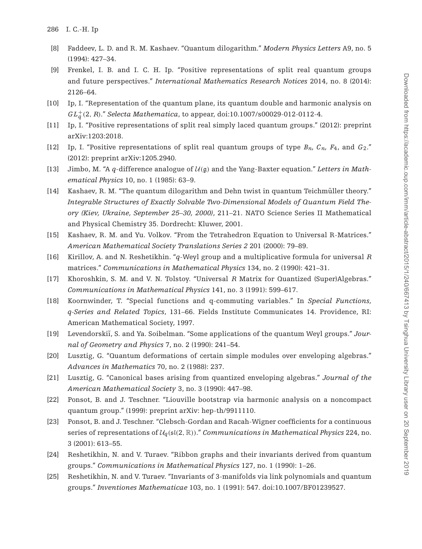- <span id="page-46-12"></span>[8] Faddeev, L. D. and R. M. Kashaev. "Quantum dilogarithm." *Modern Physics Letters* A9, no. 5 (1994): 427–34.
- <span id="page-46-3"></span>[9] Frenkel, I. B. and I. C. H. Ip. "Positive representations of split real quantum groups and future perspectives." *International Mathematics Research Notices* 2014, no. 8 (2014): 2126–64.
- <span id="page-46-9"></span>[10] Ip, I. "Representation of the quantum plane, its quantum double and harmonic analysis on *G L*<sup>+</sup> *<sup>q</sup>* (2, *R*)." *Selecta Mathematica*, to appear, doi:10.1007/s00029-012-0112-4.
- <span id="page-46-6"></span>[11] Ip, I. "Positive representations of split real simply laced quantum groups." (2012): preprint arXiv:1203:2018.
- <span id="page-46-7"></span>[12] Ip, I. "Positive representations of split real quantum groups of type *Bn*, *Cn*, *F*4, and *G*2." (2012): preprint arXiv:1205.2940.
- <span id="page-46-13"></span>[13] Jimbo, M. "A *<sup>q</sup>*-difference analogue of *<sup>U</sup>*(g) and the Yang-Baxter equation." *Letters in Mathematical Physics* 10, no. 1 (1985): 63–9.
- <span id="page-46-0"></span>[14] Kashaev, R. M. "The quantum dilogarithm and Dehn twist in quantum Teichmuller theory." ¨ *Integrable Structures of Exactly Solvable Two-Dimensional Models of Quantum Field Theory (Kiev, Ukraine, September 25–30, 2000)*, 211–21. NATO Science Series II Mathematical and Physical Chemistry 35. Dordrecht: Kluwer, 2001.
- <span id="page-46-17"></span>[15] Kashaev, R. M. and Yu. Volkov. "From the Tetrahedron Equation to Universal R-Matrices." *American Mathematical Society Translations Series 2* 201 (2000): 79–89.
- <span id="page-46-1"></span>[16] Kirillov, A. and N. Reshetikhin. "*q*-Weyl group and a multiplicative formula for universal *R* matrices." *Communications in Mathematical Physics* 134, no. 2 (1990): 421–31.
- <span id="page-46-16"></span>[17] Khoroshkin, S. M. and V. N. Tolstoy. "Universal *R* Matrix for Quantized (Super)Algebras." *Communications in Mathematical Physics* 141, no. 3 (1991): 599–617.
- <span id="page-46-15"></span>[18] Koornwinder, T. "Special functions and q-commuting variables." In *Special Functions, q-Series and Related Topics*, 131–66. Fields Institute Communicates 14. Providence, RI: American Mathematical Society, 1997.
- <span id="page-46-2"></span>[19] Levendorskiı, S. and Ya. Soibelman. "Some applications of the quantum Weyl groups." ˘ *Journal of Geometry and Physics* 7, no. 2 (1990): 241–54.
- <span id="page-46-14"></span>[20] Lusztig, G. "Quantum deformations of certain simple modules over enveloping algebras." *Advances in Mathematics* 70, no. 2 (1988): 237.
- <span id="page-46-8"></span>[21] Lusztig, G. "Canonical bases arising from quantized enveloping algebras." *Journal of the American Mathematical Society* 3, no. 3 (1990): 447–98.
- <span id="page-46-4"></span>[22] Ponsot, B. and J. Teschner. "Liouville bootstrap via harmonic analysis on a noncompact quantum group." (1999): preprint arXiv: hep-th/9911110.
- <span id="page-46-5"></span>[23] Ponsot, B. and J. Teschner. "Clebsch-Gordan and Racah-Wigner coefficients for a continuous series of representations of  $U_q(\mathfrak{sl}(2,\mathbb{R}))$ ." *Communications in Mathematical Physics* 224, no. 3 (2001): 613–55.
- <span id="page-46-10"></span>[24] Reshetikhin, N. and V. Turaev. "Ribbon graphs and their invariants derived from quantum groups." *Communications in Mathematical Physics* 127, no. 1 (1990): 1–26.
- <span id="page-46-11"></span>[25] Reshetikhin, N. and V. Turaev. "Invariants of 3-manifolds via link polynomials and quantum groups." *Inventiones Mathematicae* 103, no. 1 (1991): 547. doi:10.1007/BF01239527.